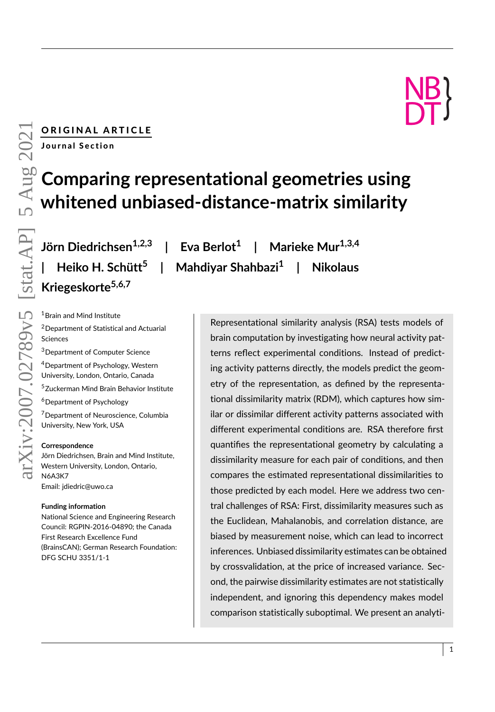# ORIGINAL ARTICLE **NB** Journal Section

# **Comparing representational geometries using whitened unbiased-distance-matrix similarity**

**Jörn Diedrichsen1,2,3 | Eva Berlot<sup>1</sup> | Heiko H. Schütt<sup>5</sup> | Mahdiyar Shahbazi<sup>1</sup> Kriegeskorte5,6,7**

**| Marieke Mur1,3,4 | Nikolaus**

<sup>1</sup> Brain and Mind Institute

<sup>2</sup>Department of Statistical and Actuarial Sciences

<sup>3</sup>Department of Computer Science

<sup>4</sup>Department of Psychology, Western University, London, Ontario, Canada

<sup>5</sup>Zuckerman Mind Brain Behavior Institute

<sup>6</sup>Department of Psychology

<sup>7</sup>Department of Neuroscience, Columbia University, New York, USA

#### **Correspondence**

Jörn Diedrichsen, Brain and Mind Institute, Western University, London, Ontario, N6A3K7 Email: jdiedric@uwo.ca

#### **Funding information**

National Science and Engineering Research Council: RGPIN-2016-04890; the Canada First Research Excellence Fund (BrainsCAN); German Research Foundation: DFG SCHU 3351/1-1

Representational similarity analysis (RSA) tests models of brain computation by investigating how neural activity patterns reflect experimental conditions. Instead of predicting activity patterns directly, the models predict the geometry of the representation, as defined by the representational dissimilarity matrix (RDM), which captures how similar or dissimilar different activity patterns associated with different experimental conditions are. RSA therefore first quantifies the representational geometry by calculating a dissimilarity measure for each pair of conditions, and then compares the estimated representational dissimilarities to those predicted by each model. Here we address two central challenges of RSA: First, dissimilarity measures such as the Euclidean, Mahalanobis, and correlation distance, are biased by measurement noise, which can lead to incorrect inferences. Unbiased dissimilarity estimates can be obtained by crossvalidation, at the price of increased variance. Second, the pairwise dissimilarity estimates are not statistically independent, and ignoring this dependency makes model comparison statistically suboptimal. We present an analyti-

DT)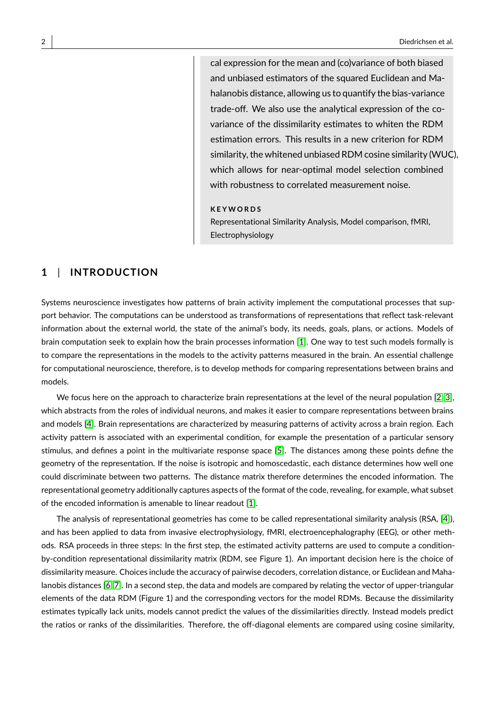cal expression for the mean and (co)variance of both biased and unbiased estimators of the squared Euclidean and Mahalanobis distance, allowing us to quantify the bias-variance trade-off. We also use the analytical expression of the covariance of the dissimilarity estimates to whiten the RDM estimation errors. This results in a new criterion for RDM similarity, the whitened unbiased RDM cosine similarity (WUC), which allows for near-optimal model selection combined with robustness to correlated measurement noise.

#### **K E Y W O R D S**

Representational Similarity Analysis, Model comparison, fMRI, Electrophysiology

#### **1** | **INTRODUCTION**

Systems neuroscience investigates how patterns of brain activity implement the computational processes that support behavior. The computations can be understood as transformations of representations that reflect task-relevant information about the external world, the state of the animal's body, its needs, goals, plans, or actions. Models of brain computation seek to explain how the brain processes information [\[1\]](#page-24-0). One way to test such models formally is to compare the representations in the models to the activity patterns measured in the brain. An essential challenge for computational neuroscience, therefore, is to develop methods for comparing representations between brains and models.

We focus here on the approach to characterize brain representations at the level of the neural population [\[2,](#page-24-1) [3\]](#page-24-2), which abstracts from the roles of individual neurons, and makes it easier to compare representations between brains and models [\[4\]](#page-24-3). Brain representations are characterized by measuring patterns of activity across a brain region. Each activity pattern is associated with an experimental condition, for example the presentation of a particular sensory stimulus, and defines a point in the multivariate response space [\[5\]](#page-24-4). The distances among these points define the geometry of the representation. If the noise is isotropic and homoscedastic, each distance determines how well one could discriminate between two patterns. The distance matrix therefore determines the encoded information. The representational geometry additionally captures aspects of the format of the code, revealing, for example, what subset of the encoded information is amenable to linear readout [\[1\]](#page-24-0).

The analysis of representational geometries has come to be called representational similarity analysis (RSA, [\[4\]](#page-24-3)), and has been applied to data from invasive electrophysiology, fMRI, electroencephalography (EEG), or other methods. RSA proceeds in three steps: In the first step, the estimated activity patterns are used to compute a conditionby-condition representational dissimilarity matrix (RDM, see Figure 1). An important decision here is the choice of dissimilarity measure. Choices include the accuracy of pairwise decoders, correlation distance, or Euclidean and Mahalanobis distances [\[6,](#page-24-5) [7\]](#page-24-6). In a second step, the data and models are compared by relating the vector of upper-triangular elements of the data RDM (Figure 1) and the corresponding vectors for the model RDMs. Because the dissimilarity estimates typically lack units, models cannot predict the values of the dissimilarities directly. Instead models predict the ratios or ranks of the dissimilarities. Therefore, the off-diagonal elements are compared using cosine similarity,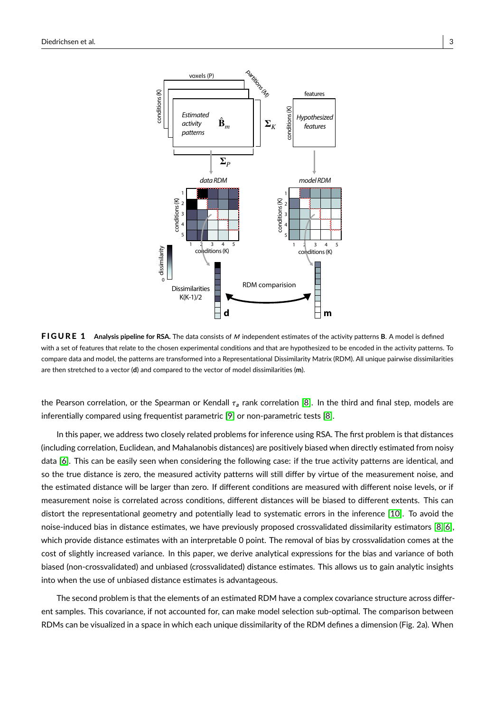

**FIGURE 1** Analysis pipeline for RSA. The data consists of M independent estimates of the activity patterns B. A model is defined with a set of features that relate to the chosen experimental conditions and that are hypothesized to be encoded in the activity patterns. To compare data and model, the patterns are transformed into a Representational Dissimilarity Matrix (RDM). All unique pairwise dissimilarities are then stretched to a vector (**d**) and compared to the vector of model dissimilarities (**m**).

the Pearson correlation, or the Spearman or Kendall  $\tau_a$  rank correlation [\[8\]](#page-24-7). In the third and final step, models are inferentially compared using frequentist parametric [\[9\]](#page-24-8) or non-parametric tests [\[8\]](#page-24-7).

In this paper, we address two closely related problems for inference using RSA. The first problem is that distances (including correlation, Euclidean, and Mahalanobis distances) are positively biased when directly estimated from noisy data [\[6\]](#page-24-5). This can be easily seen when considering the following case: if the true activity patterns are identical, and so the true distance is zero, the measured activity patterns will still differ by virtue of the measurement noise, and the estimated distance will be larger than zero. If different conditions are measured with different noise levels, or if measurement noise is correlated across conditions, different distances will be biased to different extents. This can distort the representational geometry and potentially lead to systematic errors in the inference [\[10\]](#page-24-9). To avoid the noise-induced bias in distance estimates, we have previously proposed crossvalidated dissimilarity estimators [\[8,](#page-24-7) [6\]](#page-24-5), which provide distance estimates with an interpretable 0 point. The removal of bias by crossvalidation comes at the cost of slightly increased variance. In this paper, we derive analytical expressions for the bias and variance of both biased (non-crossvalidated) and unbiased (crossvalidated) distance estimates. This allows us to gain analytic insights into when the use of unbiased distance estimates is advantageous.

The second problem is that the elements of an estimated RDM have a complex covariance structure across different samples. This covariance, if not accounted for, can make model selection sub-optimal. The comparison between RDMs can be visualized in a space in which each unique dissimilarity of the RDM defines a dimension (Fig. 2a). When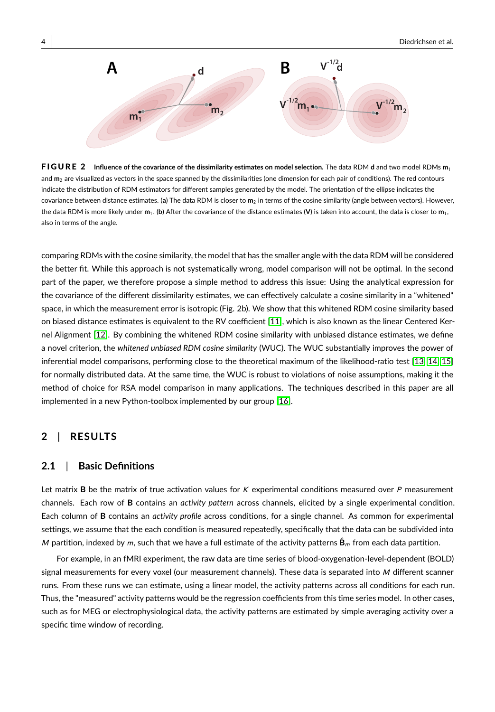

F I G U R E 2 **Influence of the covariance of the dissimilarity estimates on model selection.** The data RDM **d** and two model RDMs **m**<sup>1</sup> and **m**<sup>2</sup> are visualized as vectors in the space spanned by the dissimilarities (one dimension for each pair of conditions). The red contours indicate the distribution of RDM estimators for different samples generated by the model. The orientation of the ellipse indicates the covariance between distance estimates. (**a**) The data RDM is closer to **m**<sup>2</sup> in terms of the cosine similarity (angle between vectors). However, the data RDM is more likely under  $m_1$ . (b) After the covariance of the distance estimates (V) is taken into account, the data is closer to  $m_1$ , also in terms of the angle.

comparing RDMs with the cosine similarity, the model that has the smaller angle with the data RDM will be considered the better fit. While this approach is not systematically wrong, model comparison will not be optimal. In the second part of the paper, we therefore propose a simple method to address this issue: Using the analytical expression for the covariance of the different dissimilarity estimates, we can effectively calculate a cosine similarity in a "whitened" space, in which the measurement error is isotropic (Fig. 2b). We show that this whitened RDM cosine similarity based on biased distance estimates is equivalent to the RV coefficient [\[11\]](#page-24-10), which is also known as the linear Centered Kernel Alignment [\[12\]](#page-24-11). By combining the whitened RDM cosine similarity with unbiased distance estimates, we define a novel criterion, the *whitened unbiased RDM cosine similarity* (WUC). The WUC substantially improves the power of inferential model comparisons, performing close to the theoretical maximum of the likelihood-ratio test [\[13,](#page-24-12) [14,](#page-24-13) [15\]](#page-24-14) for normally distributed data. At the same time, the WUC is robust to violations of noise assumptions, making it the method of choice for RSA model comparison in many applications. The techniques described in this paper are all implemented in a new Python-toolbox implemented by our group [\[16\]](#page-24-15).

#### **2** | **RESULTS**

#### **2.1** | **Basic Definitions**

Let matrix **B** be the matrix of true activation values for K experimental conditions measured over P measurement channels. Each row of **B** contains an *activity pattern* across channels, elicited by a single experimental condition. Each column of **B** contains an *activity profile* across conditions, for a single channel. As common for experimental settings, we assume that the each condition is measured repeatedly, specifically that the data can be subdivided into M partition, indexed by m, such that we have a full estimate of the activity patterns  $\hat{\mathbf{B}}_m$  from each data partition.

For example, in an fMRI experiment, the raw data are time series of blood-oxygenation-level-dependent (BOLD) signal measurements for every voxel (our measurement channels). These data is separated into M different scanner runs. From these runs we can estimate, using a linear model, the activity patterns across all conditions for each run. Thus, the "measured" activity patterns would be the regression coefficients from this time series model. In other cases, such as for MEG or electrophysiological data, the activity patterns are estimated by simple averaging activity over a specific time window of recording.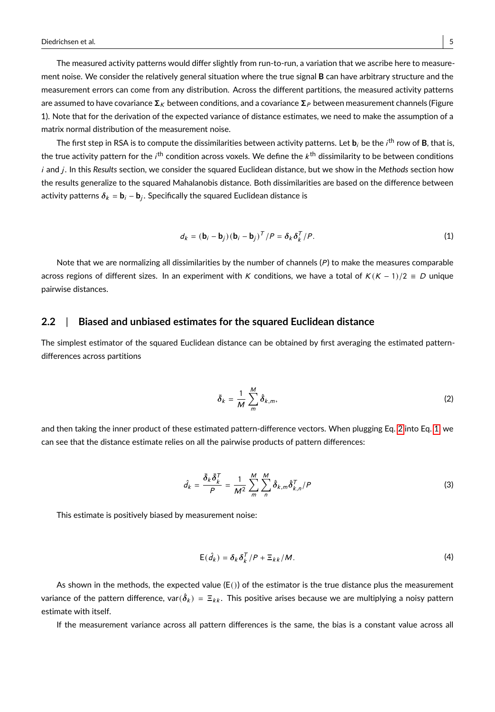The measured activity patterns would differ slightly from run-to-run, a variation that we ascribe here to measurement noise. We consider the relatively general situation where the true signal **B** can have arbitrary structure and the measurement errors can come from any distribution. Across the different partitions, the measured activity patterns are assumed to have covariance  $\Sigma_K$  between conditions, and a covariance  $\Sigma_P$  between measurement channels (Figure 1). Note that for the derivation of the expected variance of distance estimates, we need to make the assumption of a matrix normal distribution of the measurement noise.

The first step in RSA is to compute the dissimilarities between activity patterns. Let  $b_i$  be the  $i^{\rm th}$  row of **B**, that is, the true activity pattern for the  $i^{\sf th}$  condition across voxels. We define the  $k^{\sf th}$  dissimilarity to be between conditions i and j. In this Results section, we consider the squared Euclidean distance, but we show in the Methods section how the results generalize to the squared Mahalanobis distance. Both dissimilarities are based on the difference between activity patterns  $\boldsymbol{\delta}_k = \mathbf{b}_i - \mathbf{b}_j.$  Specifically the squared Euclidean distance is

<span id="page-4-1"></span>
$$
d_k = (\mathbf{b}_i - \mathbf{b}_j) (\mathbf{b}_i - \mathbf{b}_j)^T / P = \delta_k \delta_k^T / P.
$$
 (1)

Note that we are normalizing all dissimilarities by the number of channels  $(P)$  to make the measures comparable across regions of different sizes. In an experiment with K conditions, we have a total of  $K(K - 1)/2 \equiv D$  unique pairwise distances.

#### **2.2** | **Biased and unbiased estimates for the squared Euclidean distance**

The simplest estimator of the squared Euclidean distance can be obtained by first averaging the estimated patterndifferences across partitions

<span id="page-4-0"></span>
$$
\bar{\delta}_k = \frac{1}{M} \sum_{m=1}^{M} \hat{\delta}_{k,m},
$$
 (2)

and then taking the inner product of these estimated pattern-difference vectors. When plugging Eq. [2](#page-4-0) into Eq. [1,](#page-4-1) we can see that the distance estimate relies on all the pairwise products of pattern differences:

<span id="page-4-2"></span>
$$
\hat{d}_k = \frac{\bar{\delta}_k \bar{\delta}_k^T}{P} = \frac{1}{M^2} \sum_{m=1}^{M} \sum_{n=1}^{M} \hat{\delta}_{k,m} \hat{\delta}_{k,n}^T / P
$$
\n(3)

This estimate is positively biased by measurement noise:

$$
E(\hat{d}_k) = \delta_k \delta_k^T / P + \Xi_{kk} / M. \tag{4}
$$

<span id="page-4-3"></span>As shown in the methods, the expected value  $(E()$ ) of the estimator is the true distance plus the measurement variance of the pattern difference, var $(\hat{\delta}_k)$  =  $\Xi_{kk}.$  This positive arises because we are multiplying a noisy pattern estimate with itself.

If the measurement variance across all pattern differences is the same, the bias is a constant value across all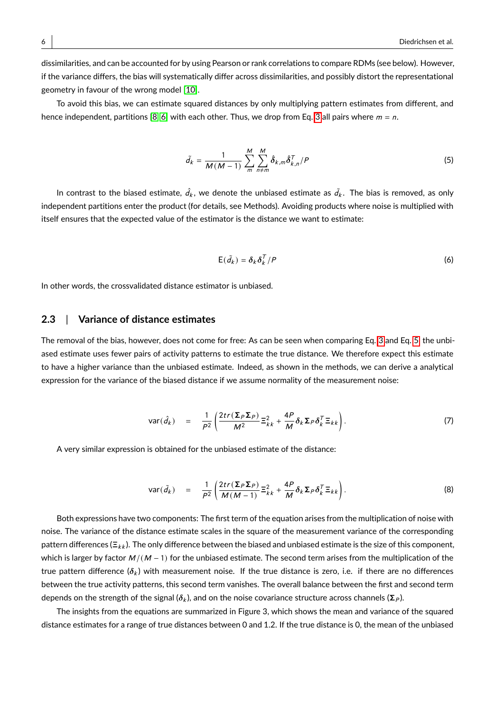dissimilarities, and can be accounted for by using Pearson or rank correlations to compare RDMs (see below). However, if the variance differs, the bias will systematically differ across dissimilarities, and possibly distort the representational geometry in favour of the wrong model [\[10\]](#page-24-9).

To avoid this bias, we can estimate squared distances by only multiplying pattern estimates from different, and hence independent, partitions [\[8,](#page-24-7) [6\]](#page-24-5) with each other. Thus, we drop from Eq. [3](#page-4-2) all pairs where  $m = n$ .

<span id="page-5-0"></span>
$$
\tilde{d}_k = \frac{1}{M(M-1)} \sum_{m=1}^{M} \sum_{n \neq m}^{M} \hat{\delta}_{k,m} \hat{\delta}_{k,n}^T / P \tag{5}
$$

In contrast to the biased estimate,  $\hat{d}_k$ , we denote the unbiased estimate as  $\tilde{d}_k.$  The bias is removed, as only independent partitions enter the product (for details, see Methods). Avoiding products where noise is multiplied with itself ensures that the expected value of the estimator is the distance we want to estimate:

$$
E(\tilde{d}_k) = \delta_k \delta_k^T / P \tag{6}
$$

In other words, the crossvalidated distance estimator is unbiased.

#### **2.3** | **Variance of distance estimates**

The removal of the bias, however, does not come for free: As can be seen when comparing Eq. [3](#page-4-2) and Eq. [5,](#page-5-0) the unbiased estimate uses fewer pairs of activity patterns to estimate the true distance. We therefore expect this estimate to have a higher variance than the unbiased estimate. Indeed, as shown in the methods, we can derive a analytical expression for the variance of the biased distance if we assume normality of the measurement noise:

<span id="page-5-1"></span>
$$
\text{var}(\hat{d}_k) = \frac{1}{P^2} \left( \frac{2tr(\Sigma_P \Sigma_P)}{M^2} \Xi_{kk}^2 + \frac{4P}{M} \delta_k \Sigma_P \delta_k^T \Xi_{kk} \right). \tag{7}
$$

A very similar expression is obtained for the unbiased estimate of the distance:

<span id="page-5-2"></span>
$$
\text{var}(\tilde{d}_k) = \frac{1}{P^2} \left( \frac{2tr(\Sigma_P \Sigma_P)}{M(M-1)} \Xi_{kk}^2 + \frac{4P}{M} \delta_k \Sigma_P \delta_k^T \Xi_{kk} \right). \tag{8}
$$

Both expressions have two components: The first term of the equation arises from the multiplication of noise with noise. The variance of the distance estimate scales in the square of the measurement variance of the corresponding pattern differences ( $\Xi_{kk}$ ). The only difference between the biased and unbiased estimate is the size of this component, which is larger by factor  $M/(M - 1)$  for the unbiased estimate. The second term arises from the multiplication of the true pattern difference ( $\delta_k$ ) with measurement noise. If the true distance is zero, i.e. if there are no differences between the true activity patterns, this second term vanishes. The overall balance between the first and second term depends on the strength of the signal ( $\delta_k$ ), and on the noise covariance structure across channels ( $\Sigma_p$ ).

The insights from the equations are summarized in Figure 3, which shows the mean and variance of the squared distance estimates for a range of true distances between 0 and 1.2. If the true distance is 0, the mean of the unbiased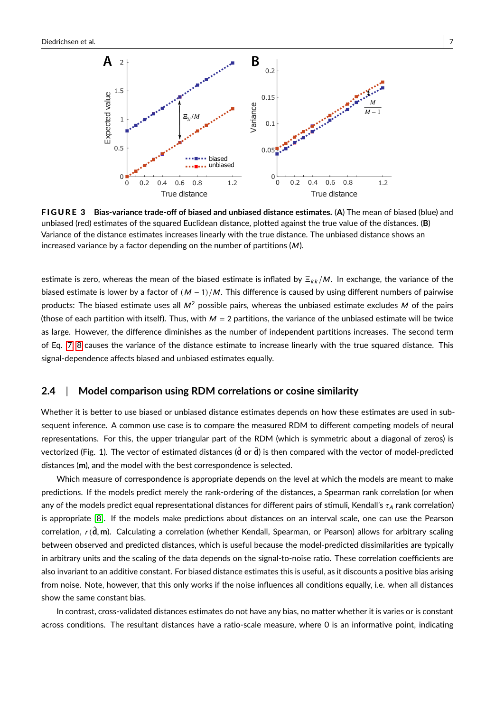

F I G U R E 3 **Bias-variance trade-off of biased and unbiased distance estimates.** (**A**) The mean of biased (blue) and unbiased (red) estimates of the squared Euclidean distance, plotted against the true value of the distances. (**B**) Variance of the distance estimates increases linearly with the true distance. The unbiased distance shows an increased variance by a factor depending on the number of partitions  $(M)$ .

estimate is zero, whereas the mean of the biased estimate is inflated by  $\Xi_{kk}/M$ . In exchange, the variance of the biased estimate is lower by a factor of  $(M - 1)/M$ . This difference is caused by using different numbers of pairwise products: The biased estimate uses all  $M^2$  possible pairs, whereas the unbiased estimate excludes M of the pairs (those of each partition with itself). Thus, with  $M = 2$  partitions, the variance of the unbiased estimate will be twice as large. However, the difference diminishes as the number of independent partitions increases. The second term of Eq. [7,](#page-5-1) [8](#page-5-2) causes the variance of the distance estimate to increase linearly with the true squared distance. This signal-dependence affects biased and unbiased estimates equally.

#### **2.4** | **Model comparison using RDM correlations or cosine similarity**

Whether it is better to use biased or unbiased distance estimates depends on how these estimates are used in subsequent inference. A common use case is to compare the measured RDM to different competing models of neural representations. For this, the upper triangular part of the RDM (which is symmetric about a diagonal of zeros) is vectorized (Fig. 1). The vector of estimated distances ( $\hat{d}$  or  $\hat{d}$ ) is then compared with the vector of model-predicted distances (**m**), and the model with the best correspondence is selected.

Which measure of correspondence is appropriate depends on the level at which the models are meant to make predictions. If the models predict merely the rank-ordering of the distances, a Spearman rank correlation (or when any of the models predict equal representational distances for different pairs of stimuli, Kendall's  $\tau_A$  rank correlation) is appropriate [\[8\]](#page-24-7). If the models make predictions about distances on an interval scale, one can use the Pearson correlation,  $r(\hat{\mathbf{d}}, \mathbf{m})$ . Calculating a correlation (whether Kendall, Spearman, or Pearson) allows for arbitrary scaling between observed and predicted distances, which is useful because the model-predicted dissimilarities are typically in arbitrary units and the scaling of the data depends on the signal-to-noise ratio. These correlation coefficients are also invariant to an additive constant. For biased distance estimates this is useful, as it discounts a positive bias arising from noise. Note, however, that this only works if the noise influences all conditions equally, i.e. when all distances show the same constant bias.

In contrast, cross-validated distances estimates do not have any bias, no matter whether it is varies or is constant across conditions. The resultant distances have a ratio-scale measure, where 0 is an informative point, indicating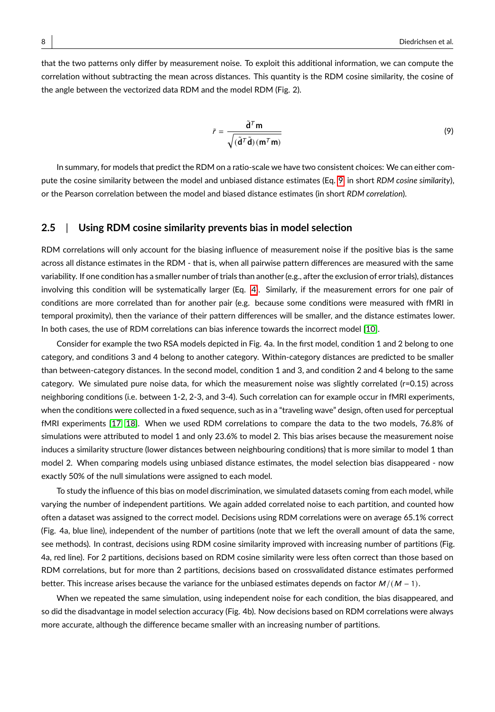that the two patterns only differ by measurement noise. To exploit this additional information, we can compute the correlation without subtracting the mean across distances. This quantity is the RDM cosine similarity, the cosine of the angle between the vectorized data RDM and the model RDM (Fig. 2).

<span id="page-7-0"></span>
$$
\tilde{r} = \frac{\tilde{\mathbf{d}}^T \mathbf{m}}{\sqrt{(\tilde{\mathbf{d}}^T \tilde{\mathbf{d}})(\mathbf{m}^T \mathbf{m})}}
$$
(9)

In summary, for models that predict the RDM on a ratio-scale we have two consistent choices: We can either compute the cosine similarity between the model and unbiased distance estimates (Eq. [9,](#page-7-0) in short *RDM cosine similarity*), or the Pearson correlation between the model and biased distance estimates (in short *RDM correlation*).

#### **2.5** | **Using RDM cosine similarity prevents bias in model selection**

RDM correlations will only account for the biasing influence of measurement noise if the positive bias is the same across all distance estimates in the RDM - that is, when all pairwise pattern differences are measured with the same variability. If one condition has a smaller number of trials than another (e.g., after the exclusion of error trials), distances involving this condition will be systematically larger (Eq. [4\)](#page-4-3). Similarly, if the measurement errors for one pair of conditions are more correlated than for another pair (e.g. because some conditions were measured with fMRI in temporal proximity), then the variance of their pattern differences will be smaller, and the distance estimates lower. In both cases, the use of RDM correlations can bias inference towards the incorrect model [\[10\]](#page-24-9).

Consider for example the two RSA models depicted in Fig. 4a. In the first model, condition 1 and 2 belong to one category, and conditions 3 and 4 belong to another category. Within-category distances are predicted to be smaller than between-category distances. In the second model, condition 1 and 3, and condition 2 and 4 belong to the same category. We simulated pure noise data, for which the measurement noise was slightly correlated (r=0.15) across neighboring conditions (i.e. between 1-2, 2-3, and 3-4). Such correlation can for example occur in fMRI experiments, when the conditions were collected in a fixed sequence, such as in a "traveling wave" design, often used for perceptual fMRI experiments [\[17,](#page-24-16) [18\]](#page-25-0). When we used RDM correlations to compare the data to the two models, 76.8% of simulations were attributed to model 1 and only 23.6% to model 2. This bias arises because the measurement noise induces a similarity structure (lower distances between neighbouring conditions) that is more similar to model 1 than model 2. When comparing models using unbiased distance estimates, the model selection bias disappeared - now exactly 50% of the null simulations were assigned to each model.

To study the influence of this bias on model discrimination, we simulated datasets coming from each model, while varying the number of independent partitions. We again added correlated noise to each partition, and counted how often a dataset was assigned to the correct model. Decisions using RDM correlations were on average 65.1% correct (Fig. 4a, blue line), independent of the number of partitions (note that we left the overall amount of data the same, see methods). In contrast, decisions using RDM cosine similarity improved with increasing number of partitions (Fig. 4a, red line). For 2 partitions, decisions based on RDM cosine similarity were less often correct than those based on RDM correlations, but for more than 2 partitions, decisions based on crossvalidated distance estimates performed better. This increase arises because the variance for the unbiased estimates depends on factor  $M/(M - 1)$ .

When we repeated the same simulation, using independent noise for each condition, the bias disappeared, and so did the disadvantage in model selection accuracy (Fig. 4b). Now decisions based on RDM correlations were always more accurate, although the difference became smaller with an increasing number of partitions.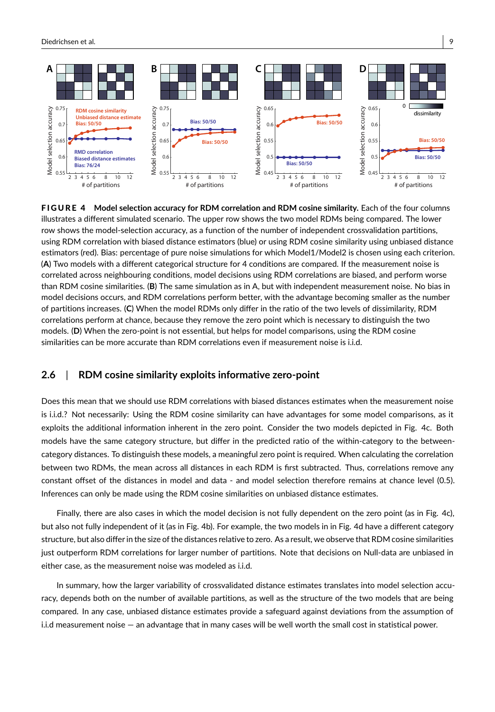

F I G U R E 4 **Model selection accuracy for RDM correlation and RDM cosine similarity.** Each of the four columns illustrates a different simulated scenario. The upper row shows the two model RDMs being compared. The lower row shows the model-selection accuracy, as a function of the number of independent crossvalidation partitions, using RDM correlation with biased distance estimators (blue) or using RDM cosine similarity using unbiased distance estimators (red). Bias: percentage of pure noise simulations for which Model1/Model2 is chosen using each criterion. (**A**) Two models with a different categorical structure for 4 conditions are compared. If the measurement noise is correlated across neighbouring conditions, model decisions using RDM correlations are biased, and perform worse than RDM cosine similarities. (**B**) The same simulation as in A, but with independent measurement noise. No bias in model decisions occurs, and RDM correlations perform better, with the advantage becoming smaller as the number of partitions increases. (**C**) When the model RDMs only differ in the ratio of the two levels of dissimilarity, RDM correlations perform at chance, because they remove the zero point which is necessary to distinguish the two models. (**D**) When the zero-point is not essential, but helps for model comparisons, using the RDM cosine similarities can be more accurate than RDM correlations even if measurement noise is i.i.d.

#### **2.6** | **RDM cosine similarity exploits informative zero-point**

Does this mean that we should use RDM correlations with biased distances estimates when the measurement noise is i.i.d.? Not necessarily: Using the RDM cosine similarity can have advantages for some model comparisons, as it exploits the additional information inherent in the zero point. Consider the two models depicted in Fig. 4c. Both models have the same category structure, but differ in the predicted ratio of the within-category to the betweencategory distances. To distinguish these models, a meaningful zero point is required. When calculating the correlation between two RDMs, the mean across all distances in each RDM is first subtracted. Thus, correlations remove any constant offset of the distances in model and data - and model selection therefore remains at chance level (0.5). Inferences can only be made using the RDM cosine similarities on unbiased distance estimates.

Finally, there are also cases in which the model decision is not fully dependent on the zero point (as in Fig. 4c), but also not fully independent of it (as in Fig. 4b). For example, the two models in in Fig. 4d have a different category structure, but also differ in the size of the distances relative to zero. As a result, we observe that RDM cosine similarities just outperform RDM correlations for larger number of partitions. Note that decisions on Null-data are unbiased in either case, as the measurement noise was modeled as i.i.d.

In summary, how the larger variability of crossvalidated distance estimates translates into model selection accuracy, depends both on the number of available partitions, as well as the structure of the two models that are being compared. In any case, unbiased distance estimates provide a safeguard against deviations from the assumption of i.i.d measurement noise — an advantage that in many cases will be well worth the small cost in statistical power.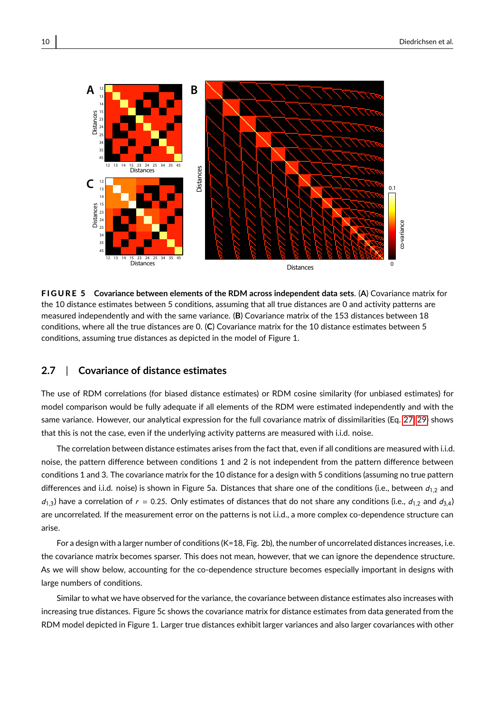

F I G U R E 5 **Covariance between elements of the RDM across independent data sets**. (**A**) Covariance matrix for the 10 distance estimates between 5 conditions, assuming that all true distances are 0 and activity patterns are measured independently and with the same variance. (**B**) Covariance matrix of the 153 distances between 18 conditions, where all the true distances are 0. (**C**) Covariance matrix for the 10 distance estimates between 5 conditions, assuming true distances as depicted in the model of Figure 1.

### **2.7** | **Covariance of distance estimates**

The use of RDM correlations (for biased distance estimates) or RDM cosine similarity (for unbiased estimates) for model comparison would be fully adequate if all elements of the RDM were estimated independently and with the same variance. However, our analytical expression for the full covariance matrix of dissimilarities (Eq. [27,](#page-21-0) [29\)](#page-21-1) shows that this is not the case, even if the underlying activity patterns are measured with i.i.d. noise.

The correlation between distance estimates arises from the fact that, even if all conditions are measured with i.i.d. noise, the pattern difference between conditions 1 and 2 is not independent from the pattern difference between conditions 1 and 3. The covariance matrix for the 10 distance for a design with 5 conditions (assuming no true pattern differences and i.i.d. noise) is shown in Figure 5a. Distances that share one of the conditions (i.e., between  $d_{1,2}$  and  $d_{1,3}$ ) have a correlation of  $r = 0.25$ . Only estimates of distances that do not share any conditions (i.e.,  $d_{1,2}$  and  $d_{3,4}$ ) are uncorrelated. If the measurement error on the patterns is not i.i.d., a more complex co-dependence structure can arise.

For a design with a larger number of conditions (K=18, Fig. 2b), the number of uncorrelated distances increases, i.e. the covariance matrix becomes sparser. This does not mean, however, that we can ignore the dependence structure. As we will show below, accounting for the co-dependence structure becomes especially important in designs with large numbers of conditions.

Similar to what we have observed for the variance, the covariance between distance estimates also increases with increasing true distances. Figure 5c shows the covariance matrix for distance estimates from data generated from the RDM model depicted in Figure 1. Larger true distances exhibit larger variances and also larger covariances with other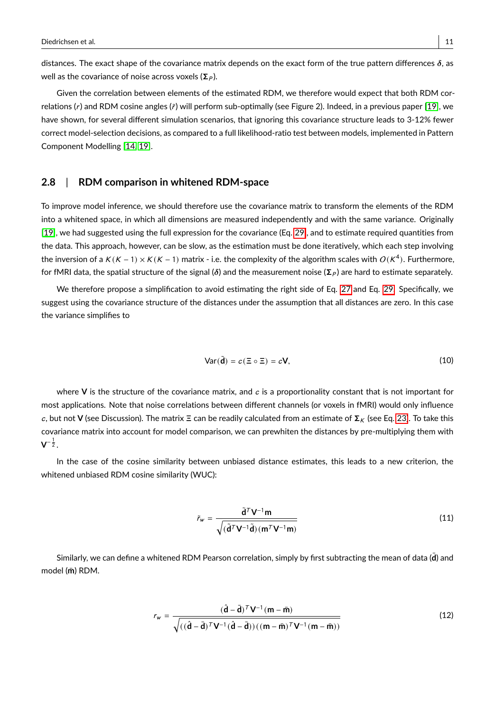distances. The exact shape of the covariance matrix depends on the exact form of the true pattern differences  $\delta$ , as well as the covariance of noise across voxels ( $\Sigma_P$ ).

Given the correlation between elements of the estimated RDM, we therefore would expect that both RDM correlations (r) and RDM cosine angles ( $\tilde{r}$ ) will perform sub-optimally (see Figure 2). Indeed, in a previous paper [\[19\]](#page-25-1), we have shown, for several different simulation scenarios, that ignoring this covariance structure leads to 3-12% fewer correct model-selection decisions, as compared to a full likelihood-ratio test between models, implemented in Pattern Component Modelling [\[14,](#page-24-13) [19\]](#page-25-1).

#### **2.8** | **RDM comparison in whitened RDM-space**

To improve model inference, we should therefore use the covariance matrix to transform the elements of the RDM into a whitened space, in which all dimensions are measured independently and with the same variance. Originally [\[19\]](#page-25-1), we had suggested using the full expression for the covariance (Eq. [29\)](#page-21-1), and to estimate required quantities from the data. This approach, however, can be slow, as the estimation must be done iteratively, which each step involving the inversion of a K (K − 1)  $\times$  K (K − 1) matrix - i.e. the complexity of the algorithm scales with  $O$ (K<sup>4</sup>). Furthermore, for fMRI data, the spatial structure of the signal ( $\delta$ ) and the measurement noise ( $\Sigma_P$ ) are hard to estimate separately.

We therefore propose a simplification to avoid estimating the right side of Eq. [27](#page-21-0) and Eq. [29.](#page-21-1) Specifically, we suggest using the covariance structure of the distances under the assumption that all distances are zero. In this case the variance simplifies to

$$
Var(\tilde{\mathbf{d}}) = c(\Xi \circ \Xi) = c\mathbf{V},\tag{10}
$$

where **V** is the structure of the covariance matrix, and  $c$  is a proportionality constant that is not important for most applications. Note that noise correlations between different channels (or voxels in fMRI) would only influence c, but not **V** (see Discussion). The matrix  $\Xi$  can be readily calculated from an estimate of  $\Sigma_K$  (see Eq. [23\)](#page-19-0). To take this covariance matrix into account for model comparison, we can prewhiten the distances by pre-multiplying them with  $\mathsf{V}^{-\frac{1}{2}}.$ 

In the case of the cosine similarity between unbiased distance estimates, this leads to a new criterion, the whitened unbiased RDM cosine similarity (WUC):

<span id="page-10-0"></span>
$$
\tilde{r}_{w} = \frac{\tilde{\mathbf{d}}^{T} \mathbf{V}^{-1} \mathbf{m}}{\sqrt{(\tilde{\mathbf{d}}^{T} \mathbf{V}^{-1} \tilde{\mathbf{d}}) \left(\mathbf{m}^{T} \mathbf{V}^{-1} \mathbf{m}\right)}}
$$
(11)

Similarly, we can define a whitened RDM Pearson correlation, simply by first subtracting the mean of data (d) and model (**m**¯ ) RDM.

<span id="page-10-1"></span>
$$
r_w = \frac{(\hat{\mathbf{d}} - \bar{\mathbf{d}})^T \mathbf{V}^{-1} (\mathbf{m} - \bar{\mathbf{m}})}{\sqrt{((\hat{\mathbf{d}} - \bar{\mathbf{d}})^T \mathbf{V}^{-1} (\hat{\mathbf{d}} - \bar{\mathbf{d}})) ((\mathbf{m} - \bar{\mathbf{m}})^T \mathbf{V}^{-1} (\mathbf{m} - \bar{\mathbf{m}}))}}
$$
(12)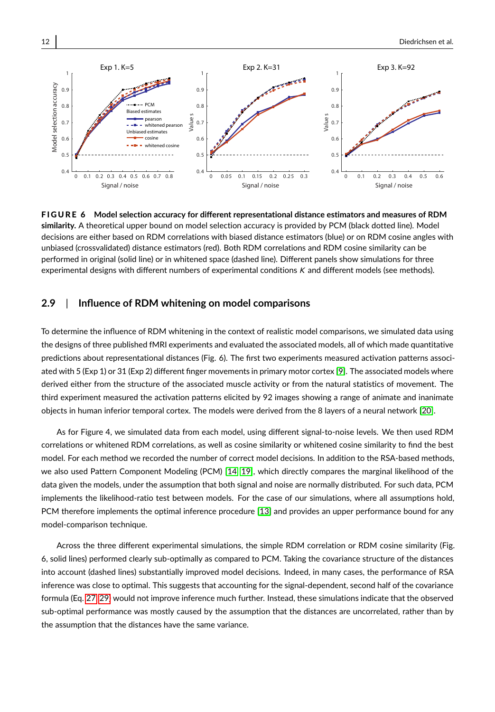

F I G U R E 6 **Model selection accuracy for different representational distance estimators and measures of RDM similarity.** A theoretical upper bound on model selection accuracy is provided by PCM (black dotted line). Model decisions are either based on RDM correlations with biased distance estimators (blue) or on RDM cosine angles with unbiased (crossvalidated) distance estimators (red). Both RDM correlations and RDM cosine similarity can be performed in original (solid line) or in whitened space (dashed line). Different panels show simulations for three experimental designs with different numbers of experimental conditions K and different models (see methods).

#### **2.9** | **Influence of RDM whitening on model comparisons**

To determine the influence of RDM whitening in the context of realistic model comparisons, we simulated data using the designs of three published fMRI experiments and evaluated the associated models, all of which made quantitative predictions about representational distances (Fig. 6). The first two experiments measured activation patterns associated with 5 (Exp 1) or 31 (Exp 2) different finger movements in primary motor cortex [\[9\]](#page-24-8). The associated models where derived either from the structure of the associated muscle activity or from the natural statistics of movement. The third experiment measured the activation patterns elicited by 92 images showing a range of animate and inanimate objects in human inferior temporal cortex. The models were derived from the 8 layers of a neural network [\[20\]](#page-25-2).

As for Figure 4, we simulated data from each model, using different signal-to-noise levels. We then used RDM correlations or whitened RDM correlations, as well as cosine similarity or whitened cosine similarity to find the best model. For each method we recorded the number of correct model decisions. In addition to the RSA-based methods, we also used Pattern Component Modeling (PCM) [\[14,](#page-24-13) [19\]](#page-25-1), which directly compares the marginal likelihood of the data given the models, under the assumption that both signal and noise are normally distributed. For such data, PCM implements the likelihood-ratio test between models. For the case of our simulations, where all assumptions hold, PCM therefore implements the optimal inference procedure [\[13\]](#page-24-12) and provides an upper performance bound for any model-comparison technique.

Across the three different experimental simulations, the simple RDM correlation or RDM cosine similarity (Fig. 6, solid lines) performed clearly sub-optimally as compared to PCM. Taking the covariance structure of the distances into account (dashed lines) substantially improved model decisions. Indeed, in many cases, the performance of RSA inference was close to optimal. This suggests that accounting for the signal-dependent, second half of the covariance formula (Eq. [27,](#page-21-0) [29\)](#page-21-1) would not improve inference much further. Instead, these simulations indicate that the observed sub-optimal performance was mostly caused by the assumption that the distances are uncorrelated, rather than by the assumption that the distances have the same variance.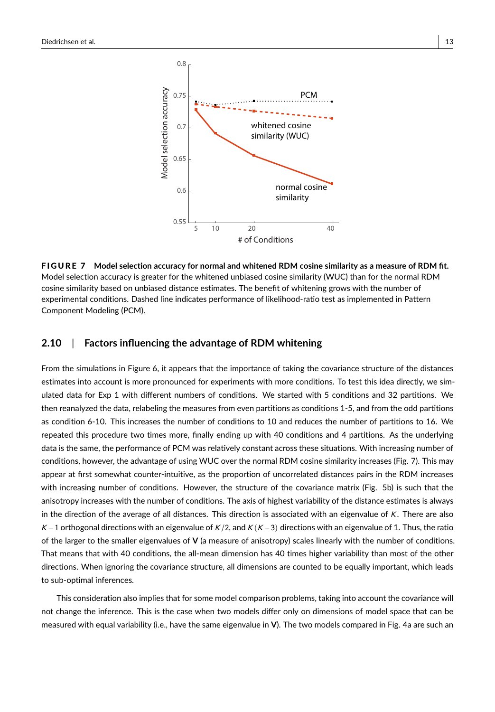

F I G U R E 7 **Model selection accuracy for normal and whitened RDM cosine similarity as a measure of RDM fit.** Model selection accuracy is greater for the whitened unbiased cosine similarity (WUC) than for the normal RDM cosine similarity based on unbiased distance estimates. The benefit of whitening grows with the number of experimental conditions. Dashed line indicates performance of likelihood-ratio test as implemented in Pattern Component Modeling (PCM).

#### **2.10** | **Factors influencing the advantage of RDM whitening**

From the simulations in Figure 6, it appears that the importance of taking the covariance structure of the distances estimates into account is more pronounced for experiments with more conditions. To test this idea directly, we simulated data for Exp 1 with different numbers of conditions. We started with 5 conditions and 32 partitions. We then reanalyzed the data, relabeling the measures from even partitions as conditions 1-5, and from the odd partitions as condition 6-10. This increases the number of conditions to 10 and reduces the number of partitions to 16. We repeated this procedure two times more, finally ending up with 40 conditions and 4 partitions. As the underlying data is the same, the performance of PCM was relatively constant across these situations. With increasing number of conditions, however, the advantage of using WUC over the normal RDM cosine similarity increases (Fig. 7). This may appear at first somewhat counter-intuitive, as the proportion of uncorrelated distances pairs in the RDM increases with increasing number of conditions. However, the structure of the covariance matrix (Fig. 5b) is such that the anisotropy increases with the number of conditions. The axis of highest variability of the distance estimates is always in the direction of the average of all distances. This direction is associated with an eigenvalue of  $K$ . There are also K – 1 orthogonal directions with an eigenvalue of K/2, and K (K – 3) directions with an eigenvalue of 1. Thus, the ratio of the larger to the smaller eigenvalues of **V** (a measure of anisotropy) scales linearly with the number of conditions. That means that with 40 conditions, the all-mean dimension has 40 times higher variability than most of the other directions. When ignoring the covariance structure, all dimensions are counted to be equally important, which leads to sub-optimal inferences.

This consideration also implies that for some model comparison problems, taking into account the covariance will not change the inference. This is the case when two models differ only on dimensions of model space that can be measured with equal variability (i.e., have the same eigenvalue in **V**). The two models compared in Fig. 4a are such an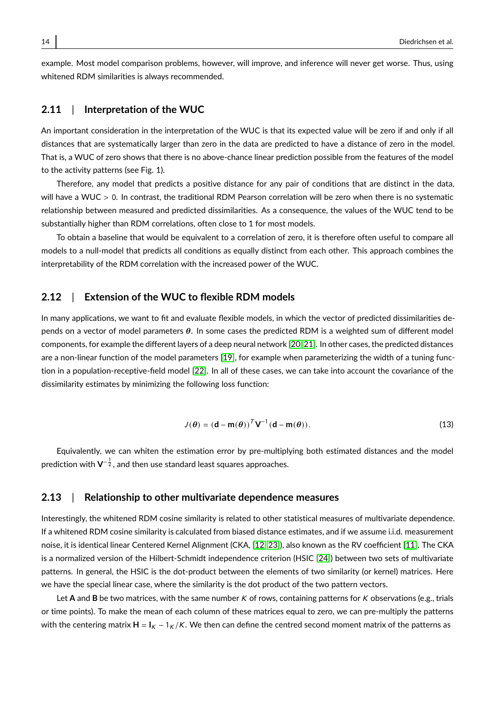example. Most model comparison problems, however, will improve, and inference will never get worse. Thus, using whitened RDM similarities is always recommended.

#### **2.11** | **Interpretation of the WUC**

An important consideration in the interpretation of the WUC is that its expected value will be zero if and only if all distances that are systematically larger than zero in the data are predicted to have a distance of zero in the model. That is, a WUC of zero shows that there is no above-chance linear prediction possible from the features of the model to the activity patterns (see Fig. 1).

Therefore, any model that predicts a positive distance for any pair of conditions that are distinct in the data, will have a WUC > 0. In contrast, the traditional RDM Pearson correlation will be zero when there is no systematic relationship between measured and predicted dissimilarities. As a consequence, the values of the WUC tend to be substantially higher than RDM correlations, often close to 1 for most models.

To obtain a baseline that would be equivalent to a correlation of zero, it is therefore often useful to compare all models to a null-model that predicts all conditions as equally distinct from each other. This approach combines the interpretability of the RDM correlation with the increased power of the WUC.

#### **2.12** | **Extension of the WUC to flexible RDM models**

In many applications, we want to fit and evaluate flexible models, in which the vector of predicted dissimilarities depends on a vector of model parameters  $\theta$ . In some cases the predicted RDM is a weighted sum of different model components, for example the different layers of a deep neural network [\[20,](#page-25-2) [21\]](#page-25-3). In other cases, the predicted distances are a non-linear function of the model parameters [\[19\]](#page-25-1), for example when parameterizing the width of a tuning function in a population-receptive-field model [\[22\]](#page-25-4). In all of these cases, we can take into account the covariance of the dissimilarity estimates by minimizing the following loss function:

$$
J(\theta) = (\mathbf{d} - \mathbf{m}(\theta))^T \mathbf{V}^{-1} (\mathbf{d} - \mathbf{m}(\theta)).
$$
\n(13)

Equivalently, we can whiten the estimation error by pre-multiplying both estimated distances and the model prediction with  $\mathsf{V}^{-\frac{1}{2}}$ , and then use standard least squares approaches.

#### **2.13** | **Relationship to other multivariate dependence measures**

Interestingly, the whitened RDM cosine similarity is related to other statistical measures of multivariate dependence. If a whitened RDM cosine similarity is calculated from biased distance estimates, and if we assume i.i.d. measurement noise, it is identical linear Centered Kernel Alignment (CKA, [\[12,](#page-24-11) [23\]](#page-25-5)), also known as the RV coefficient [\[11\]](#page-24-10). The CKA is a normalized version of the Hilbert-Schmidt independence criterion (HSIC [\[24\]](#page-25-6)) between two sets of multivariate patterns. In general, the HSIC is the dot-product between the elements of two similarity (or kernel) matrices. Here we have the special linear case, where the similarity is the dot product of the two pattern vectors.

Let A and B be two matrices, with the same number K of rows, containing patterns for K observations (e.g., trials or time points). To make the mean of each column of these matrices equal to zero, we can pre-multiply the patterns with the centering matrix  $H = I_K - 1_K/K$ . We then can define the centred second moment matrix of the patterns as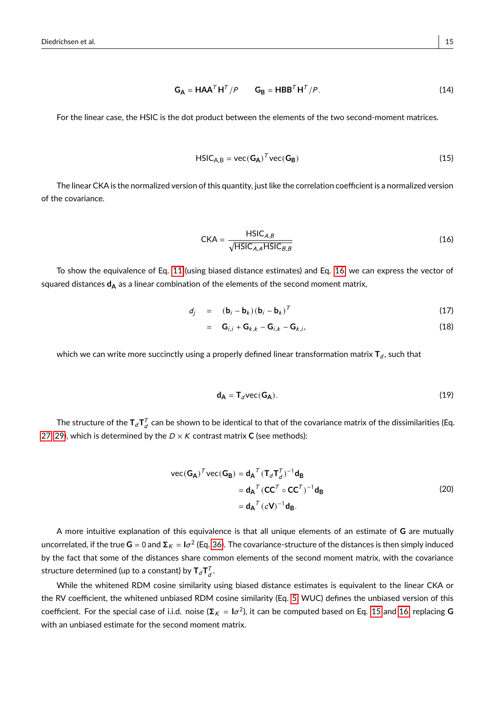$$
G_A = HAA^T H^T / P \qquad G_B = HBB^T H^T / P. \tag{14}
$$

For the linear case, the HSIC is the dot product between the elements of the two second-moment matrices.

<span id="page-14-1"></span>
$$
HSIC_{A,B} = vec(G_A)^T vec(G_B)
$$
\n(15)

The linear CKA is the normalized version of this quantity, just like the correlation coefficient is a normalized version of the covariance.

<span id="page-14-0"></span>
$$
CKA = \frac{\text{HSIC}_{A,B}}{\sqrt{\text{HSIC}_{A,A}\text{HSIC}_{B,B}}}
$$
(16)

To show the equivalence of Eq. [11](#page-10-0) (using biased distance estimates) and Eq. [16,](#page-14-0) we can express the vector of squared distances d<sub>A</sub> as a linear combination of the elements of the second moment matrix,

$$
d_j = (\mathbf{b}_i - \mathbf{b}_k)(\mathbf{b}_i - \mathbf{b}_k)^T
$$
 (17)

$$
= \mathbf{G}_{i,i} + \mathbf{G}_{k,k} - \mathbf{G}_{i,k} - \mathbf{G}_{k,i},
$$
\n(18)

which we can write more succinctly using a properly defined linear transformation matrix  $\mathbf{T}_d$ , such that

$$
\mathbf{d}_{\mathbf{A}} = \mathbf{T}_d \text{vec}(\mathbf{G}_{\mathbf{A}}). \tag{19}
$$

The structure of the  $\mathsf{T}_d\mathsf{T}_d^{\mathcal{T}}$  can be shown to be identical to that of the covariance matrix of the dissimilarities (Eq. [27,](#page-21-0) [29\)](#page-21-1), which is determined by the  $D \times K$  contrast matrix **C** (see methods):

vec(
$$
\mathbf{G}_{\mathbf{A}}
$$
)<sup>T</sup>vec( $\mathbf{G}_{\mathbf{B}}$ ) =  $\mathbf{d}_{\mathbf{A}}^{T} (\mathbf{T}_{d} \mathbf{T}_{d}^{T})^{-1} \mathbf{d}_{\mathbf{B}}$   
\n=  $\mathbf{d}_{\mathbf{A}}^{T} (\mathbf{C}\mathbf{C}^{T} \circ \mathbf{C}\mathbf{C}^{T})^{-1} \mathbf{d}_{\mathbf{B}}$   
\n=  $\mathbf{d}_{\mathbf{A}}^{T} (c\mathbf{V})^{-1} \mathbf{d}_{\mathbf{B}}$ . (20)

<span id="page-14-2"></span>A more intuitive explanation of this equivalence is that all unique elements of an estimate of **G** are mutually uncorrelated, if the true **G** = 0 and Σ $_K$  = I $\sigma^2$  (Eq. [36\)](#page-26-0). The covariance-structure of the distances is then simply induced by the fact that some of the distances share common elements of the second moment matrix, with the covariance structure determined (up to a constant) by  $\mathsf{T}_d\mathsf{T}_d^{\mathcal{T}}$ .

While the whitened RDM cosine similarity using biased distance estimates is equivalent to the linear CKA or the RV coefficient, the whitened unbiased RDM cosine similarity (Eq. [5,](#page-5-0) WUC) defines the unbiased version of this  $\cot$  coefficient. For the special case of i.i.d. noise ( $\Sigma_K = I\sigma^2$ ), it can be computed based on Eq. [15](#page-14-1) and [16,](#page-14-0) replacing  $G$ with an unbiased estimate for the second moment matrix.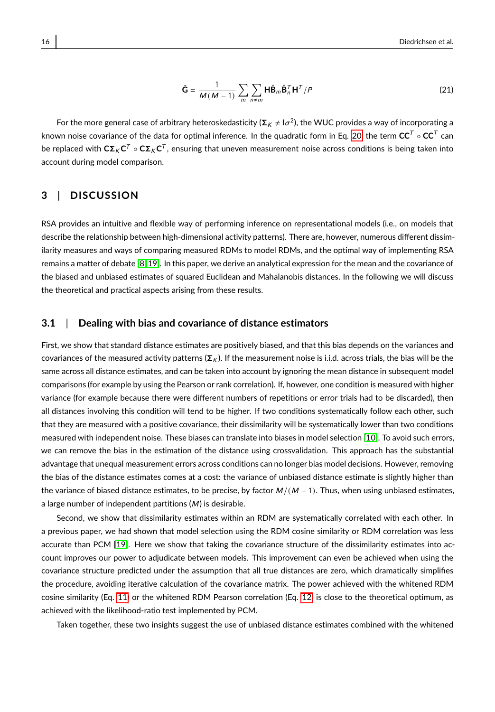<span id="page-15-0"></span>
$$
\tilde{\mathbf{G}} = \frac{1}{M(M-1)} \sum_{m} \sum_{n \neq m} \mathbf{H} \hat{\mathbf{B}}_{m} \hat{\mathbf{B}}_{n}^{T} \mathbf{H}^{T} / P
$$
(21)

For the more general case of arbitrary heteroskedasticity ( $\Sigma_K\neq$  l $\sigma^2$ ), the WUC provides a way of incorporating a known noise covariance of the data for optimal inference. In the quadratic form in Eq. [20,](#page-14-2) the term  $\mathbf{CC}^T\circ\mathbf{CC}^T$  can be replaced with  $C\Sigma_K C^T\circ C\Sigma_K C^T$ , ensuring that uneven measurement noise across conditions is being taken into account during model comparison.

### **3** | **DISCUSSION**

RSA provides an intuitive and flexible way of performing inference on representational models (i.e., on models that describe the relationship between high-dimensional activity patterns). There are, however, numerous different dissimilarity measures and ways of comparing measured RDMs to model RDMs, and the optimal way of implementing RSA remains a matter of debate [\[8,](#page-24-7) [19\]](#page-25-1). In this paper, we derive an analytical expression for the mean and the covariance of the biased and unbiased estimates of squared Euclidean and Mahalanobis distances. In the following we will discuss the theoretical and practical aspects arising from these results.

#### **3.1** | **Dealing with bias and covariance of distance estimators**

First, we show that standard distance estimates are positively biased, and that this bias depends on the variances and covariances of the measured activity patterns ( $\Sigma_K$ ). If the measurement noise is i.i.d. across trials, the bias will be the same across all distance estimates, and can be taken into account by ignoring the mean distance in subsequent model comparisons (for example by using the Pearson or rank correlation). If, however, one condition is measured with higher variance (for example because there were different numbers of repetitions or error trials had to be discarded), then all distances involving this condition will tend to be higher. If two conditions systematically follow each other, such that they are measured with a positive covariance, their dissimilarity will be systematically lower than two conditions measured with independent noise. These biases can translate into biases in model selection [\[10\]](#page-24-9). To avoid such errors, we can remove the bias in the estimation of the distance using crossvalidation. This approach has the substantial advantage that unequal measurement errors across conditions can no longer bias model decisions. However, removing the bias of the distance estimates comes at a cost: the variance of unbiased distance estimate is slightly higher than the variance of biased distance estimates, to be precise, by factor  $M/(M - 1)$ . Thus, when using unbiased estimates, a large number of independent partitions  $(M)$  is desirable.

Second, we show that dissimilarity estimates within an RDM are systematically correlated with each other. In a previous paper, we had shown that model selection using the RDM cosine similarity or RDM correlation was less accurate than PCM [\[19\]](#page-25-1). Here we show that taking the covariance structure of the dissimilarity estimates into account improves our power to adjudicate between models. This improvement can even be achieved when using the covariance structure predicted under the assumption that all true distances are zero, which dramatically simplifies the procedure, avoiding iterative calculation of the covariance matrix. The power achieved with the whitened RDM cosine similarity (Eq. [11\)](#page-10-0) or the whitened RDM Pearson correlation (Eq. [12\)](#page-10-1) is close to the theoretical optimum, as achieved with the likelihood-ratio test implemented by PCM.

Taken together, these two insights suggest the use of unbiased distance estimates combined with the whitened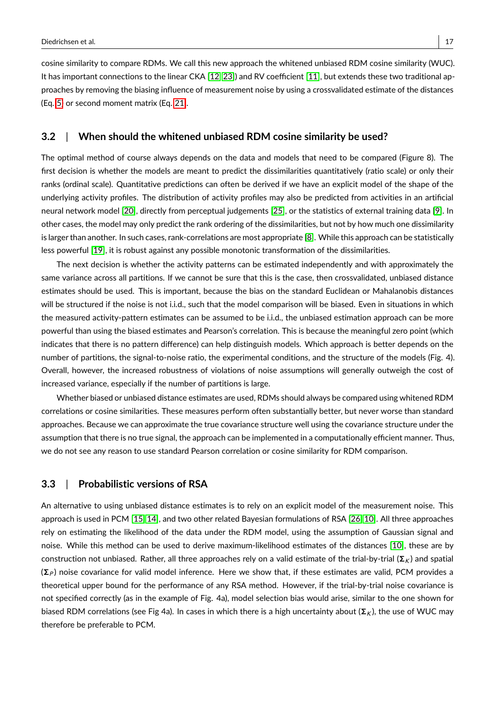cosine similarity to compare RDMs. We call this new approach the whitened unbiased RDM cosine similarity (WUC). It has important connections to the linear CKA [\[12,](#page-24-11) [23\]](#page-25-5)) and RV coefficient [\[11\]](#page-24-10), but extends these two traditional approaches by removing the biasing influence of measurement noise by using a crossvalidated estimate of the distances (Eq. [5\)](#page-5-0) or second moment matrix (Eq. [21\)](#page-15-0).

#### **3.2** | **When should the whitened unbiased RDM cosine similarity be used?**

The optimal method of course always depends on the data and models that need to be compared (Figure 8). The first decision is whether the models are meant to predict the dissimilarities quantitatively (ratio scale) or only their ranks (ordinal scale). Quantitative predictions can often be derived if we have an explicit model of the shape of the underlying activity profiles. The distribution of activity profiles may also be predicted from activities in an artificial neural network model [\[20\]](#page-25-2), directly from perceptual judgements [\[25\]](#page-25-7), or the statistics of external training data [\[9\]](#page-24-8). In other cases, the model may only predict the rank ordering of the dissimilarities, but not by how much one dissimilarity is larger than another. In such cases, rank-correlations are most appropriate [\[8\]](#page-24-7). While this approach can be statistically less powerful [\[19\]](#page-25-1), it is robust against any possible monotonic transformation of the dissimilarities.

The next decision is whether the activity patterns can be estimated independently and with approximately the same variance across all partitions. If we cannot be sure that this is the case, then crossvalidated, unbiased distance estimates should be used. This is important, because the bias on the standard Euclidean or Mahalanobis distances will be structured if the noise is not i.i.d., such that the model comparison will be biased. Even in situations in which the measured activity-pattern estimates can be assumed to be i.i.d., the unbiased estimation approach can be more powerful than using the biased estimates and Pearson's correlation. This is because the meaningful zero point (which indicates that there is no pattern difference) can help distinguish models. Which approach is better depends on the number of partitions, the signal-to-noise ratio, the experimental conditions, and the structure of the models (Fig. 4). Overall, however, the increased robustness of violations of noise assumptions will generally outweigh the cost of increased variance, especially if the number of partitions is large.

Whether biased or unbiased distance estimates are used, RDMs should always be compared using whitened RDM correlations or cosine similarities. These measures perform often substantially better, but never worse than standard approaches. Because we can approximate the true covariance structure well using the covariance structure under the assumption that there is no true signal, the approach can be implemented in a computationally efficient manner. Thus, we do not see any reason to use standard Pearson correlation or cosine similarity for RDM comparison.

#### **3.3** | **Probabilistic versions of RSA**

An alternative to using unbiased distance estimates is to rely on an explicit model of the measurement noise. This approach is used in PCM [\[15,](#page-24-14) [14\]](#page-24-13), and two other related Bayesian formulations of RSA [\[26,](#page-25-8) [10\]](#page-24-9). All three approaches rely on estimating the likelihood of the data under the RDM model, using the assumption of Gaussian signal and noise. While this method can be used to derive maximum-likelihood estimates of the distances [\[10\]](#page-24-9), these are by construction not unbiased. Rather, all three approaches rely on a valid estimate of the trial-by-trial ( $\Sigma_K$ ) and spatial  $(\Sigma_P)$  noise covariance for valid model inference. Here we show that, if these estimates are valid, PCM provides a theoretical upper bound for the performance of any RSA method. However, if the trial-by-trial noise covariance is not specified correctly (as in the example of Fig. 4a), model selection bias would arise, similar to the one shown for biased RDM correlations (see Fig 4a). In cases in which there is a high uncertainty about ( $\Sigma_K$ ), the use of WUC may therefore be preferable to PCM.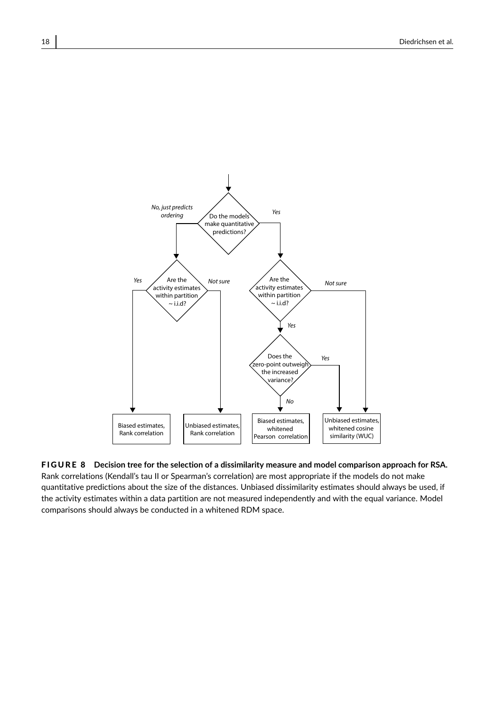

F I G U R E 8 **Decision tree for the selection of a dissimilarity measure and model comparison approach for RSA.** Rank correlations (Kendall's tau II or Spearman's correlation) are most appropriate if the models do not make quantitative predictions about the size of the distances. Unbiased dissimilarity estimates should always be used, if the activity estimates within a data partition are not measured independently and with the equal variance. Model comparisons should always be conducted in a whitened RDM space.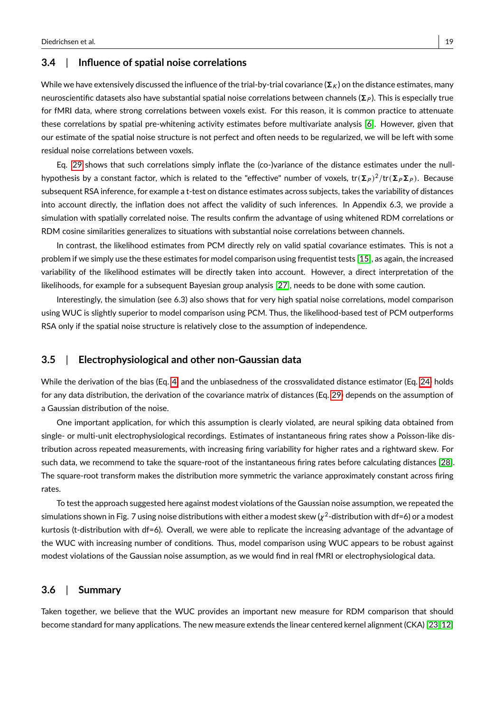#### **3.4** | **Influence of spatial noise correlations**

While we have extensively discussed the influence of the trial-by-trial covariance ( $\Sigma_k$ ) on the distance estimates, many neuroscientific datasets also have substantial spatial noise correlations between channels ( $\Sigma_P$ ). This is especially true for fMRI data, where strong correlations between voxels exist. For this reason, it is common practice to attenuate these correlations by spatial pre-whitening activity estimates before multivariate analysis [\[6\]](#page-24-5). However, given that our estimate of the spatial noise structure is not perfect and often needs to be regularized, we will be left with some residual noise correlations between voxels.

Eq. [29](#page-21-1) shows that such correlations simply inflate the (co-)variance of the distance estimates under the nullhypothesis by a constant factor, which is related to the "effective" number of voxels, tr $(\bf{\Sigma}_P)^2/\text{tr}(\bf{\Sigma}_P\bf{\Sigma}_P).$  Because subsequent RSA inference, for example a t-test on distance estimates across subjects, takes the variability of distances into account directly, the inflation does not affect the validity of such inferences. In Appendix 6.3, we provide a simulation with spatially correlated noise. The results confirm the advantage of using whitened RDM correlations or RDM cosine similarities generalizes to situations with substantial noise correlations between channels.

In contrast, the likelihood estimates from PCM directly rely on valid spatial covariance estimates. This is not a problem if we simply use the these estimates for model comparison using frequentist tests [\[15\]](#page-24-14), as again, the increased variability of the likelihood estimates will be directly taken into account. However, a direct interpretation of the likelihoods, for example for a subsequent Bayesian group analysis [\[27\]](#page-25-9), needs to be done with some caution.

Interestingly, the simulation (see 6.3) also shows that for very high spatial noise correlations, model comparison using WUC is slightly superior to model comparison using PCM. Thus, the likelihood-based test of PCM outperforms RSA only if the spatial noise structure is relatively close to the assumption of independence.

#### **3.5** | **Electrophysiological and other non-Gaussian data**

While the derivation of the bias (Eq. [4\)](#page-4-3) and the unbiasedness of the crossvalidated distance estimator (Eq. [24\)](#page-20-0) holds for any data distribution, the derivation of the covariance matrix of distances (Eq. [29\)](#page-21-1) depends on the assumption of a Gaussian distribution of the noise.

One important application, for which this assumption is clearly violated, are neural spiking data obtained from single- or multi-unit electrophysiological recordings. Estimates of instantaneous firing rates show a Poisson-like distribution across repeated measurements, with increasing firing variability for higher rates and a rightward skew. For such data, we recommend to take the square-root of the instantaneous firing rates before calculating distances [\[28\]](#page-25-10). The square-root transform makes the distribution more symmetric the variance approximately constant across firing rates.

To test the approach suggested here against modest violations of the Gaussian noise assumption, we repeated the simulations shown in Fig. 7 using noise distributions with either a modest skew ( $\chi^2$ -distribution with df=6) or a modest kurtosis (t-distribution with df=6). Overall, we were able to replicate the increasing advantage of the advantage of the WUC with increasing number of conditions. Thus, model comparison using WUC appears to be robust against modest violations of the Gaussian noise assumption, as we would find in real fMRI or electrophysiological data.

#### **3.6** | **Summary**

Taken together, we believe that the WUC provides an important new measure for RDM comparison that should become standard for many applications. The new measure extends the linear centered kernel alignment (CKA) [\[23,](#page-25-5) [12\]](#page-24-11)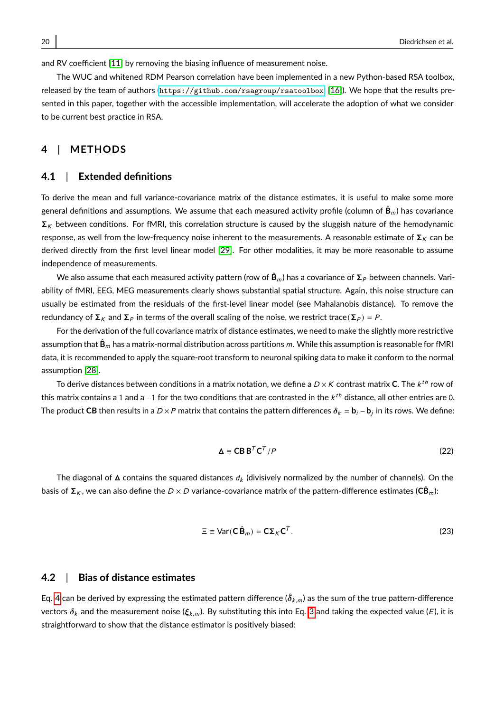and RV coefficient [\[11\]](#page-24-10) by removing the biasing influence of measurement noise.

The WUC and whitened RDM Pearson correlation have been implemented in a new Python-based RSA toolbox, released by the team of authors (<https://github.com/rsagroup/rsatoolbox>, [\[16\]](#page-24-15)). We hope that the results presented in this paper, together with the accessible implementation, will accelerate the adoption of what we consider to be current best practice in RSA.

# **4** | **METHODS**

#### **4.1** | **Extended definitions**

To derive the mean and full variance-covariance matrix of the distance estimates, it is useful to make some more general definitions and assumptions. We assume that each measured activity profile (column of  $\hat{\bf B}_m$ ) has covariance  $\Sigma_K$  between conditions. For fMRI, this correlation structure is caused by the sluggish nature of the hemodynamic response, as well from the low-frequency noise inherent to the measurements. A reasonable estimate of  $\Sigma_K$  can be derived directly from the first level linear model [\[29\]](#page-25-11). For other modalities, it may be more reasonable to assume independence of measurements.

We also assume that each measured activity pattern (row of  $\hat{\mathbf{B}}_m$ ) has a covariance of  $\Sigma_P$  between channels. Variability of fMRI, EEG, MEG measurements clearly shows substantial spatial structure. Again, this noise structure can usually be estimated from the residuals of the first-level linear model (see Mahalanobis distance). To remove the redundancy of  $\Sigma_K$  and  $\Sigma_P$  in terms of the overall scaling of the noise, we restrict trace( $\Sigma_P$ ) = P.

For the derivation of the full covariance matrix of distance estimates, we need to make the slightly more restrictive assumption that  $\hat{B}_m$  has a matrix-normal distribution across partitions  $m$ . While this assumption is reasonable for fMRI data, it is recommended to apply the square-root transform to neuronal spiking data to make it conform to the normal assumption [\[28\]](#page-25-10).

To derive distances between conditions in a matrix notation, we define a  $D\times K$  contrast matrix **C**. The  $k^{th}$  row of this matrix contains a 1 and a  $-1$  for the two conditions that are contrasted in the  $k^{th}$  distance, all other entries are 0. The product **CB** then results in a *D* × *P* matrix that contains the pattern differences  $\delta_k$  = **b**<sub>i</sub> − **b**<sub>j</sub> in its rows. We define:

$$
\Delta \equiv \mathbf{CB} \mathbf{B}^T \mathbf{C}^T / P \tag{22}
$$

The diagonal of  $\Delta$  contains the squared distances  $d_k$  (divisively normalized by the number of channels). On the basis of  $\Sigma_K$ , we can also define the  $D \times D$  variance-covariance matrix of the pattern-difference estimates ( $\mathsf{CB}_m$ ):

<span id="page-19-0"></span>
$$
\Xi \equiv \text{Var}(\mathbf{C}\,\hat{\mathbf{B}}_m) = \mathbf{C}\Sigma_K \mathbf{C}^T. \tag{23}
$$

#### **4.2** | **Bias of distance estimates**

Eq. [4](#page-4-3) can be derived by expressing the estimated pattern difference  $(\hat{\delta}_{k,m})$  as the sum of the true pattern-difference vectors  $\delta_k$  and the measurement noise ( $\xi_{k,m}$ ). By substituting this into Eq. [3](#page-4-2) and taking the expected value (E), it is straightforward to show that the distance estimator is positively biased: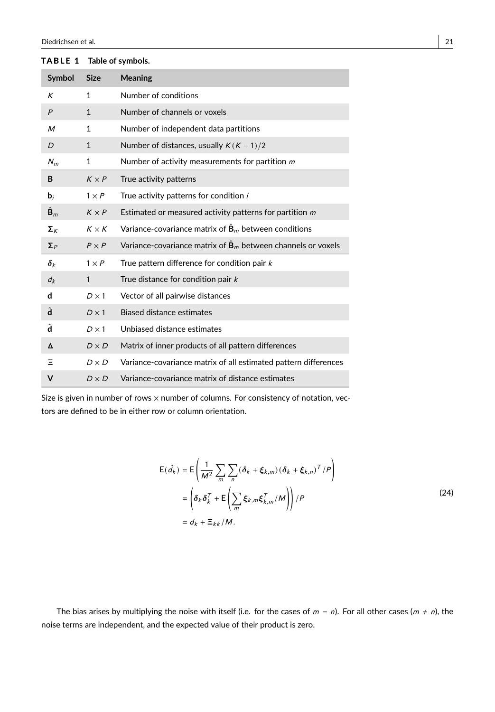| Symbol               | <b>Size</b>  | <b>Meaning</b>                                                                |
|----------------------|--------------|-------------------------------------------------------------------------------|
| Κ                    | 1            | Number of conditions                                                          |
| $\overline{P}$       | $\mathbf{1}$ | Number of channels or voxels                                                  |
| M                    | $\mathbf{1}$ | Number of independent data partitions                                         |
| D                    | $\mathbf{1}$ | Number of distances, usually $K(K-1)/2$                                       |
| $N_m$                | $\mathbf{1}$ | Number of activity measurements for partition $m$                             |
| B                    | $K \times P$ | True activity patterns                                                        |
| $\mathbf{b}_i$       | $1 \times P$ | True activity patterns for condition i                                        |
| $\hat{\mathbf{B}}_m$ | $K \times P$ | Estimated or measured activity patterns for partition $m$                     |
| $\Sigma_{K}$         | $K \times K$ | Variance-covariance matrix of $\hat{\mathbf{B}}_m$ between conditions         |
| $\Sigma_P$           | $P \times P$ | Variance-covariance matrix of $\hat{\mathbf{B}}_m$ between channels or voxels |
| $\delta_k$           | $1 \times P$ | True pattern difference for condition pair k                                  |
| $d_k$                | $\mathbf{1}$ | True distance for condition pair $k$                                          |
| d                    | $D \times 1$ | Vector of all pairwise distances                                              |
| â                    | $D \times 1$ | Biased distance estimates                                                     |
| ã                    | $D \times 1$ | Unbiased distance estimates                                                   |
| Δ                    | $D \times D$ | Matrix of inner products of all pattern differences                           |
| Ξ                    | $D \times D$ | Variance-covariance matrix of all estimated pattern differences               |
| v                    | $D \times D$ | Variance-covariance matrix of distance estimates                              |

TABLE 1 Table of symbols.

<span id="page-20-0"></span>Size is given in number of rows  $\times$  number of columns. For consistency of notation, vectors are defined to be in either row or column orientation.

$$
E(\hat{d}_k) = E\left(\frac{1}{M^2} \sum_{m} \sum_{n} (\delta_k + \xi_{k,m}) (\delta_k + \xi_{k,n})^T / P\right)
$$
  
=  $\left(\delta_k \delta_k^T + E\left(\sum_{m} \xi_{k,m} \xi_{k,m}^T / M\right)\right) / P$   
=  $d_k + \Xi_{kk} / M$ . (24)

The bias arises by multiplying the noise with itself (i.e. for the cases of  $m = n$ ). For all other cases  $(m \neq n)$ , the noise terms are independent, and the expected value of their product is zero.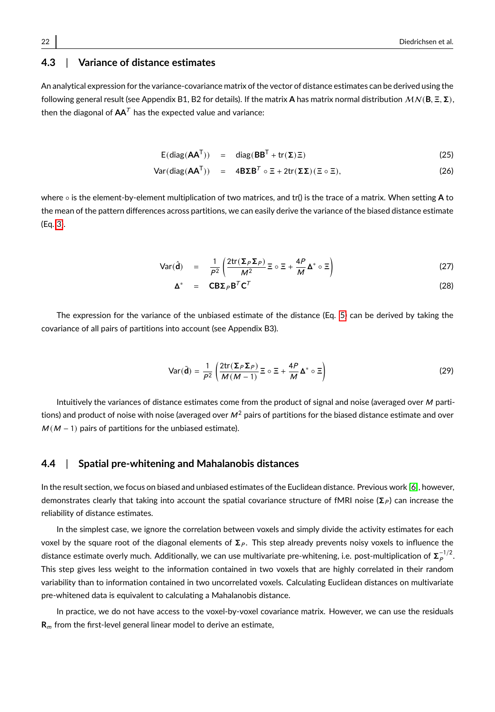# **4.3** | **Variance of distance estimates**

An analytical expression for the variance-covariance matrix of the vector of distance estimates can be derived using the following general result (see Appendix B1, B2 for details). If the matrix **<sup>A</sup>** has matrix normal distribution MN (**B**, <sup>Ξ</sup>, <sup>Σ</sup>), then the diagonal of  $AA<sup>T</sup>$  has the expected value and variance:

$$
E(diag(\mathbf{A}\mathbf{A}^{T})) = diag(\mathbf{B}\mathbf{B}^{T} + tr(\Sigma)\Xi)
$$
\n(25)

$$
\text{Var}(\text{diag}(\mathbf{A}\mathbf{A}^{\mathsf{T}})) = 4\mathbf{B}\mathbf{\Sigma}\mathbf{B}^{\mathsf{T}} \circ \Xi + 2\text{tr}(\mathbf{\Sigma}\mathbf{\Sigma})(\Xi \circ \Xi), \tag{26}
$$

where ◦ is the element-by-element multiplication of two matrices, and tr() is the trace of a matrix. When setting **A** to the mean of the pattern differences across partitions, we can easily derive the variance of the biased distance estimate (Eq. [3\)](#page-4-2).

<span id="page-21-0"></span>
$$
\text{Var}(\hat{\mathbf{d}}) = \frac{1}{P^2} \left( \frac{2 \text{tr}(\Sigma_P \Sigma_P)}{M^2} \Xi \circ \Xi + \frac{4P}{M} \Delta^* \circ \Xi \right) \tag{27}
$$

$$
\Delta^* = \mathbf{CB}\Sigma_P \mathbf{B}^T \mathbf{C}^T
$$
 (28)

The expression for the variance of the unbiased estimate of the distance (Eq. [5\)](#page-5-0) can be derived by taking the covariance of all pairs of partitions into account (see Appendix B3).

<span id="page-21-1"></span>
$$
\text{Var}(\tilde{\mathbf{d}}) = \frac{1}{P^2} \left( \frac{2 \text{tr}(\Sigma_P \Sigma_P)}{M(M-1)} \Xi \circ \Xi + \frac{4P}{M} \Delta^* \circ \Xi \right)
$$
(29)

Intuitively the variances of distance estimates come from the product of signal and noise (averaged over  $M$  partitions) and product of noise with noise (averaged over  $M^2$  pairs of partitions for the biased distance estimate and over  $M(M - 1)$  pairs of partitions for the unbiased estimate).

#### **4.4** | **Spatial pre-whitening and Mahalanobis distances**

In the result section, we focus on biased and unbiased estimates of the Euclidean distance. Previous work [\[6\]](#page-24-5), however, demonstrates clearly that taking into account the spatial covariance structure of fMRI noise ( $\Sigma_P$ ) can increase the reliability of distance estimates.

In the simplest case, we ignore the correlation between voxels and simply divide the activity estimates for each voxel by the square root of the diagonal elements of  $\Sigma_P$ . This step already prevents noisy voxels to influence the distance estimate overly much. Additionally, we can use multivariate pre-whitening, i.e. post-multiplication of  ${\bf \Sigma}_P^{-1/2}.$ This step gives less weight to the information contained in two voxels that are highly correlated in their random variability than to information contained in two uncorrelated voxels. Calculating Euclidean distances on multivariate pre-whitened data is equivalent to calculating a Mahalanobis distance.

In practice, we do not have access to the voxel-by-voxel covariance matrix. However, we can use the residuals **R**<sub>m</sub> from the first-level general linear model to derive an estimate,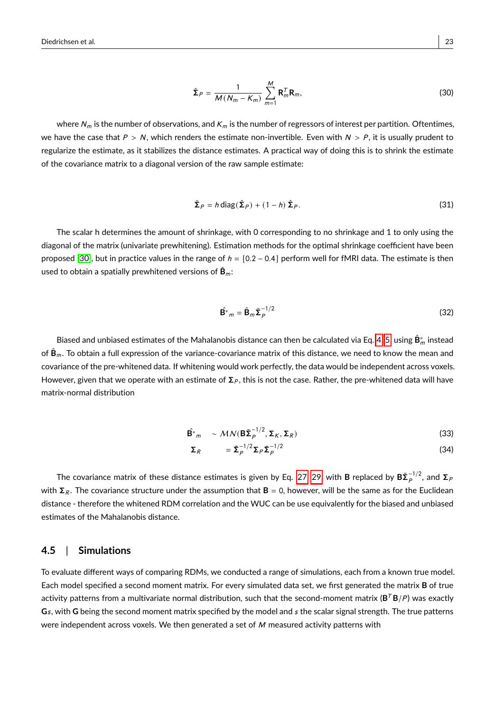$$
\hat{\Sigma}_P = \frac{1}{M(N_m - K_m)} \sum_{m=1}^{M} \mathbf{R}_m^T \mathbf{R}_m,
$$
\n(30)

where  $N_m$  is the number of observations, and  $K_m$  is the number of regressors of interest per partition. Oftentimes, we have the case that  $P > N$ , which renders the estimate non-invertible. Even with  $N > P$ , it is usually prudent to regularize the estimate, as it stabilizes the distance estimates. A practical way of doing this is to shrink the estimate of the covariance matrix to a diagonal version of the raw sample estimate:

$$
\tilde{\Sigma}_P = h \operatorname{diag}(\hat{\Sigma}_P) + (1 - h)\hat{\Sigma}_P.
$$
\n(31)

The scalar h determines the amount of shrinkage, with 0 corresponding to no shrinkage and 1 to only using the diagonal of the matrix (univariate prewhitening). Estimation methods for the optimal shrinkage coefficient have been proposed [\[30\]](#page-25-12), but in practice values in the range of  $h = [0.2 - 0.4]$  perform well for fMRI data. The estimate is then used to obtain a spatially prewhitened versions of  $\hat{\mathbf{B}}_m$ :

$$
\hat{\mathbf{B}}^* = \hat{\mathbf{B}}_m \tilde{\boldsymbol{\Sigma}}_P^{-1/2} \tag{32}
$$

Biased and unbiased estimates of the Mahalanobis distance can then be calculated via Eq. [4,](#page-4-3) [5,](#page-5-0) using  $\hat{{\sf B}}_m^*$  instead of  $\hat{B}_m$ . To obtain a full expression of the variance-covariance matrix of this distance, we need to know the mean and covariance of the pre-whitened data. If whitening would work perfectly, the data would be independent across voxels. However, given that we operate with an estimate of  $\Sigma_P$ , this is not the case. Rather, the pre-whitened data will have matrix-normal distribution

$$
\hat{\mathbf{B}}^*_{m} \sim \mathcal{MN}(\mathbf{B}\tilde{\boldsymbol{\Sigma}}_P^{-1/2}, \boldsymbol{\Sigma}_K, \boldsymbol{\Sigma}_R)
$$
\n(33)

$$
\Sigma_R = \tilde{\Sigma}_P^{-1/2} \Sigma_P \tilde{\Sigma}_P^{-1/2}
$$
 (34)

The covariance matrix of these distance estimates is given by Eq. [27,](#page-21-0) [29,](#page-21-1) with **B** replaced by  $B\tilde\Sigma_P^{-1/2}$ , and  $\Sigma_F$ with  $\Sigma_R$ . The covariance structure under the assumption that  $B = 0$ , however, will be the same as for the Euclidean distance - therefore the whitened RDM correlation and the WUC can be use equivalently for the biased and unbiased estimates of the Mahalanobis distance.

#### **4.5** | **Simulations**

To evaluate different ways of comparing RDMs, we conducted a range of simulations, each from a known true model. Each model specified a second moment matrix. For every simulated data set, we first generated the matrix **B** of true activity patterns from a multivariate normal distribution, such that the second-moment matrix (**B** <sup>T</sup> **B**/P ) was exactly **G**s, with **G** being the second moment matrix specified by the model and s the scalar signal strength. The true patterns were independent across voxels. We then generated a set of  $M$  measured activity patterns with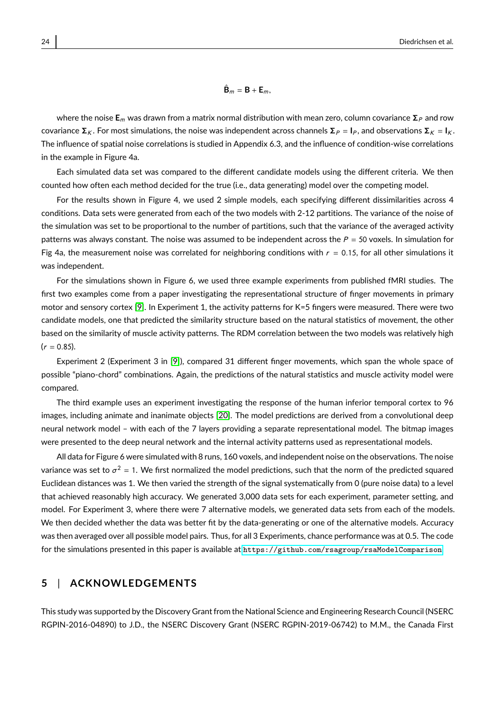where the noise  $E_m$  was drawn from a matrix normal distribution with mean zero, column covariance  $\Sigma_P$  and row covariance  $\Sigma_K$ . For most simulations, the noise was independent across channels  $\Sigma_P = I_P$ , and observations  $\Sigma_K = I_K$ . The influence of spatial noise correlations is studied in Appendix 6.3, and the influence of condition-wise correlations in the example in Figure 4a.

Each simulated data set was compared to the different candidate models using the different criteria. We then counted how often each method decided for the true (i.e., data generating) model over the competing model.

For the results shown in Figure 4, we used 2 simple models, each specifying different dissimilarities across 4 conditions. Data sets were generated from each of the two models with 2-12 partitions. The variance of the noise of the simulation was set to be proportional to the number of partitions, such that the variance of the averaged activity patterns was always constant. The noise was assumed to be independent across the  $P = 50$  voxels. In simulation for Fig 4a, the measurement noise was correlated for neighboring conditions with  $r = 0.15$ , for all other simulations it was independent.

For the simulations shown in Figure 6, we used three example experiments from published fMRI studies. The first two examples come from a paper investigating the representational structure of finger movements in primary motor and sensory cortex [\[9\]](#page-24-8). In Experiment 1, the activity patterns for K=5 fingers were measured. There were two candidate models, one that predicted the similarity structure based on the natural statistics of movement, the other based on the similarity of muscle activity patterns. The RDM correlation between the two models was relatively high  $(r = 0.85)$ .

Experiment 2 (Experiment 3 in [\[9\]](#page-24-8)), compared 31 different finger movements, which span the whole space of possible "piano-chord" combinations. Again, the predictions of the natural statistics and muscle activity model were compared.

The third example uses an experiment investigating the response of the human inferior temporal cortex to 96 images, including animate and inanimate objects [\[20\]](#page-25-2). The model predictions are derived from a convolutional deep neural network model – with each of the 7 layers providing a separate representational model. The bitmap images were presented to the deep neural network and the internal activity patterns used as representational models.

All data for Figure 6 were simulated with 8 runs, 160 voxels, and independent noise on the observations. The noise variance was set to  $\sigma^2$  = 1. We first normalized the model predictions, such that the norm of the predicted squared Euclidean distances was 1. We then varied the strength of the signal systematically from 0 (pure noise data) to a level that achieved reasonably high accuracy. We generated 3,000 data sets for each experiment, parameter setting, and model. For Experiment 3, where there were 7 alternative models, we generated data sets from each of the models. We then decided whether the data was better fit by the data-generating or one of the alternative models. Accuracy was then averaged over all possible model pairs. Thus, for all 3 Experiments, chance performance was at 0.5. The code for the simulations presented in this paper is available at <https://github.com/rsagroup/rsaModelComparison>.

#### **5** | **ACKNOWLEDGEMENTS**

This study was supported by the Discovery Grant from the National Science and Engineering Research Council (NSERC RGPIN-2016-04890) to J.D., the NSERC Discovery Grant (NSERC RGPIN-2019-06742) to M.M., the Canada First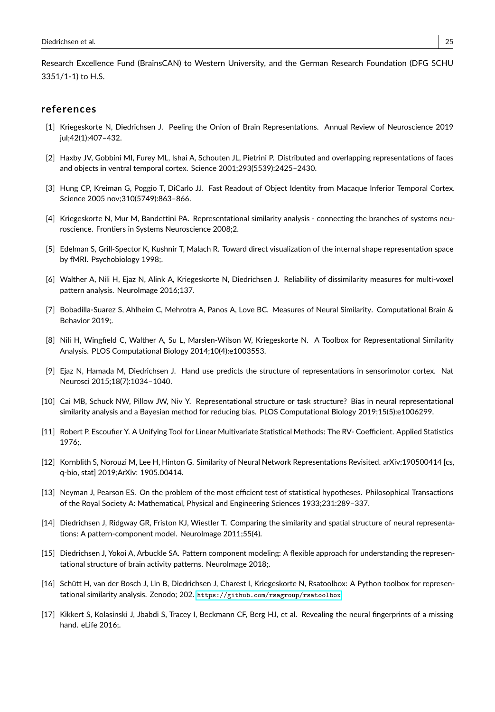Research Excellence Fund (BrainsCAN) to Western University, and the German Research Foundation (DFG SCHU 3351/1-1) to H.S.

#### **references**

- <span id="page-24-0"></span>[1] Kriegeskorte N, Diedrichsen J. Peeling the Onion of Brain Representations. Annual Review of Neuroscience 2019 jul;42(1):407–432.
- <span id="page-24-1"></span>[2] Haxby JV, Gobbini MI, Furey ML, Ishai A, Schouten JL, Pietrini P. Distributed and overlapping representations of faces and objects in ventral temporal cortex. Science 2001;293(5539):2425–2430.
- <span id="page-24-2"></span>[3] Hung CP, Kreiman G, Poggio T, DiCarlo JJ. Fast Readout of Object Identity from Macaque Inferior Temporal Cortex. Science 2005 nov;310(5749):863–866.
- <span id="page-24-3"></span>[4] Kriegeskorte N, Mur M, Bandettini PA. Representational similarity analysis - connecting the branches of systems neuroscience. Frontiers in Systems Neuroscience 2008;2.
- <span id="page-24-4"></span>[5] Edelman S, Grill-Spector K, Kushnir T, Malach R. Toward direct visualization of the internal shape representation space by fMRI. Psychobiology 1998;.
- <span id="page-24-5"></span>[6] Walther A, Nili H, Ejaz N, Alink A, Kriegeskorte N, Diedrichsen J. Reliability of dissimilarity measures for multi-voxel pattern analysis. NeuroImage 2016;137.
- <span id="page-24-6"></span>[7] Bobadilla-Suarez S, Ahlheim C, Mehrotra A, Panos A, Love BC. Measures of Neural Similarity. Computational Brain & Behavior 2019;.
- <span id="page-24-7"></span>[8] Nili H, Wingfield C, Walther A, Su L, Marslen-Wilson W, Kriegeskorte N. A Toolbox for Representational Similarity Analysis. PLOS Computational Biology 2014;10(4):e1003553.
- <span id="page-24-8"></span>[9] Ejaz N, Hamada M, Diedrichsen J. Hand use predicts the structure of representations in sensorimotor cortex. Nat Neurosci 2015;18(7):1034–1040.
- <span id="page-24-9"></span>[10] Cai MB, Schuck NW, Pillow JW, Niv Y. Representational structure or task structure? Bias in neural representational similarity analysis and a Bayesian method for reducing bias. PLOS Computational Biology 2019;15(5):e1006299.
- <span id="page-24-10"></span>[11] Robert P, Escoufier Y. A Unifying Tool for Linear Multivariate Statistical Methods: The RV- Coefficient. Applied Statistics 1976;.
- <span id="page-24-11"></span>[12] Kornblith S, Norouzi M, Lee H, Hinton G. Similarity of Neural Network Representations Revisited. arXiv:190500414 [cs, q-bio, stat] 2019;ArXiv: 1905.00414.
- <span id="page-24-12"></span>[13] Neyman J, Pearson ES. On the problem of the most efficient test of statistical hypotheses. Philosophical Transactions of the Royal Society A: Mathematical, Physical and Engineering Sciences 1933;231:289–337.
- <span id="page-24-13"></span>[14] Diedrichsen J, Ridgway GR, Friston KJ, Wiestler T. Comparing the similarity and spatial structure of neural representations: A pattern-component model. Neurolmage 2011;55(4).
- <span id="page-24-14"></span>[15] Diedrichsen J, Yokoi A, Arbuckle SA. Pattern component modeling: A flexible approach for understanding the representational structure of brain activity patterns. Neurolmage 2018;.
- <span id="page-24-15"></span>[16] Schütt H, van der Bosch J, Lin B, Diedrichsen J, Charest I, Kriegeskorte N, Rsatoolbox: A Python toolbox for representational similarity analysis. Zenodo; 202. <https://github.com/rsagroup/rsatoolbox>.
- <span id="page-24-16"></span>[17] Kikkert S, Kolasinski J, Jbabdi S, Tracey I, Beckmann CF, Berg HJ, et al. Revealing the neural fingerprints of a missing hand. eLife 2016;.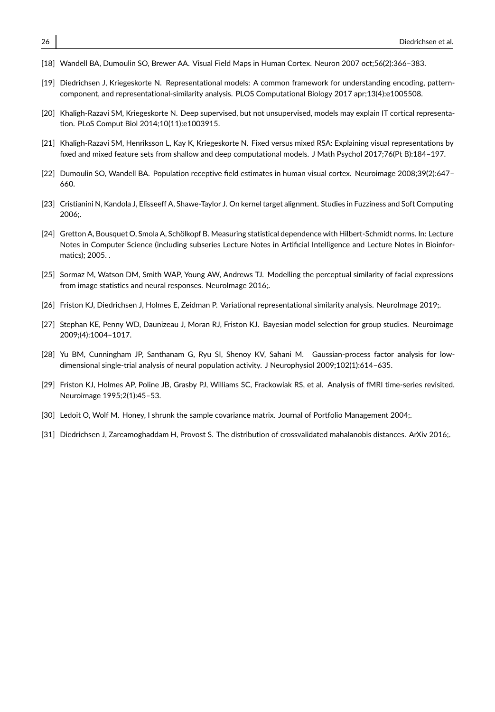- <span id="page-25-0"></span>[18] Wandell BA, Dumoulin SO, Brewer AA. Visual Field Maps in Human Cortex. Neuron 2007 oct;56(2):366–383.
- <span id="page-25-1"></span>[19] Diedrichsen J, Kriegeskorte N. Representational models: A common framework for understanding encoding, patterncomponent, and representational-similarity analysis. PLOS Computational Biology 2017 apr;13(4):e1005508.
- <span id="page-25-2"></span>[20] Khaligh-Razavi SM, Kriegeskorte N. Deep supervised, but not unsupervised, models may explain IT cortical representation. PLoS Comput Biol 2014;10(11):e1003915.
- <span id="page-25-3"></span>[21] Khaligh-Razavi SM, Henriksson L, Kay K, Kriegeskorte N. Fixed versus mixed RSA: Explaining visual representations by fixed and mixed feature sets from shallow and deep computational models. J Math Psychol 2017;76(Pt B):184–197.
- <span id="page-25-4"></span>[22] Dumoulin SO, Wandell BA. Population receptive field estimates in human visual cortex. Neuroimage 2008;39(2):647– 660.
- <span id="page-25-5"></span>[23] Cristianini N, Kandola J, Elisseeff A, Shawe-Taylor J. On kernel target alignment. Studies in Fuzziness and Soft Computing 2006;.
- <span id="page-25-6"></span>[24] Gretton A, Bousquet O, Smola A, Schölkopf B. Measuring statistical dependence with Hilbert-Schmidt norms. In: Lecture Notes in Computer Science (including subseries Lecture Notes in Artificial Intelligence and Lecture Notes in Bioinformatics); 2005. .
- <span id="page-25-7"></span>[25] Sormaz M, Watson DM, Smith WAP, Young AW, Andrews TJ. Modelling the perceptual similarity of facial expressions from image statistics and neural responses. NeuroImage 2016;.
- <span id="page-25-8"></span>[26] Friston KJ, Diedrichsen J, Holmes E, Zeidman P. Variational representational similarity analysis. NeuroImage 2019;.
- <span id="page-25-9"></span>[27] Stephan KE, Penny WD, Daunizeau J, Moran RJ, Friston KJ. Bayesian model selection for group studies. Neuroimage 2009;(4):1004–1017.
- <span id="page-25-10"></span>[28] Yu BM, Cunningham JP, Santhanam G, Ryu SI, Shenoy KV, Sahani M. Gaussian-process factor analysis for lowdimensional single-trial analysis of neural population activity. J Neurophysiol 2009;102(1):614–635.
- <span id="page-25-11"></span>[29] Friston KJ, Holmes AP, Poline JB, Grasby PJ, Williams SC, Frackowiak RS, et al. Analysis of fMRI time-series revisited. Neuroimage 1995;2(1):45–53.
- <span id="page-25-12"></span>[30] Ledoit O, Wolf M. Honey, I shrunk the sample covariance matrix. Journal of Portfolio Management 2004;.
- <span id="page-25-13"></span>[31] Diedrichsen J, Zareamoghaddam H, Provost S. The distribution of crossvalidated mahalanobis distances. ArXiv 2016;.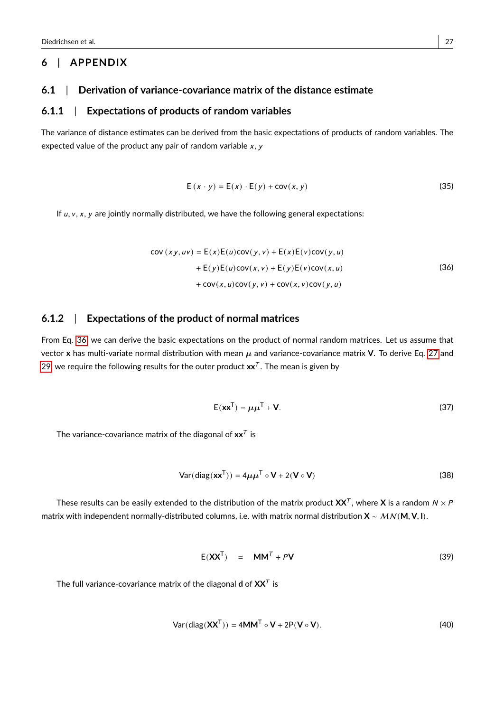#### **6** | **APPENDIX**

#### **6.1** | **Derivation of variance-covariance matrix of the distance estimate**

#### **6.1.1** | **Expectations of products of random variables**

The variance of distance estimates can be derived from the basic expectations of products of random variables. The expected value of the product any pair of random variable  $x, y$ 

$$
E(x \cdot y) = E(x) \cdot E(y) + cov(x, y)
$$
 (35)

<span id="page-26-0"></span>If  $u, v, x, y$  are jointly normally distributed, we have the following general expectations:

$$
cov (xy, uv) = E(x)E(u)cov(y, v) + E(x)E(v)cov(y, u)
$$
  
+ E(y)E(u)cov(x, v) + E(y)E(v)cov(x, u)  
+ cov(x, u)cov(y, v) + cov(x, v)cov(y, u) (36)

#### **6.1.2** | **Expectations of the product of normal matrices**

From Eq. [36,](#page-26-0) we can derive the basic expectations on the product of normal random matrices. Let us assume that vector **x** has multi-variate normal distribution with mean µ and variance-covariance matrix **V**. To derive Eq. [27](#page-21-0) and [29,](#page-21-1) we require the following results for the outer product  $\mathbf{x}\mathbf{x}^{\mathcal{T}}.$  The mean is given by

$$
E(\mathbf{x}\mathbf{x}^{\mathsf{T}}) = \boldsymbol{\mu}\boldsymbol{\mu}^{\mathsf{T}} + \mathbf{V}.\tag{37}
$$

The variance-covariance matrix of the diagonal of  $xx^{\mathcal{T}}$  is

$$
Var(diag(\mathbf{xx}^{\mathsf{T}})) = 4\mu\mu^{\mathsf{T}} \circ \mathbf{V} + 2(\mathbf{V} \circ \mathbf{V})
$$
\n(38)

These results can be easily extended to the distribution of the matrix product  $\mathbf{XX}^\tau$ , where **X** is a random  $N \times F$ matrix with independent normally-distributed columns, i.e. with matrix normal distribution **<sup>X</sup>** ∼ MN (**M**, **<sup>V</sup>**, **<sup>I</sup>**).

$$
E(XXT) = MMT + PV
$$
 (39)

The full variance-covariance matrix of the diagonal **d** of  $\mathsf{XX}^\mathcal{T}$  is

$$
Var(diag(\mathbf{XX}^T)) = 4MM^T \circ \mathbf{V} + 2P(\mathbf{V} \circ \mathbf{V}).
$$
 (40)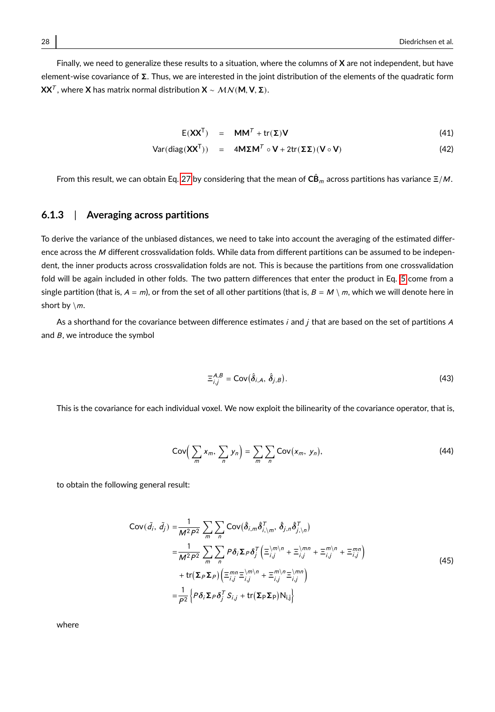Finally, we need to generalize these results to a situation, where the columns of **X** are not independent, but have element-wise covariance of Σ. Thus, we are interested in the joint distribution of the elements of the quadratic form **XX**<sup>T</sup> , where **<sup>X</sup>** has matrix normal distribution **<sup>X</sup>** ∼ MN (**M**, **<sup>V</sup>**, <sup>Σ</sup>).

$$
E(XXT) = MMT + tr(\Sigma)V
$$
 (41)

$$
Var(diag(XXT)) = 4M\Sigma MT \circ V + 2tr(\Sigma\Sigma)(V \circ V)
$$
 (42)

From this result, we can obtain Eq. [27](#page-21-0) by considering that the mean of  $C\hat{B}_m$  across partitions has variance  $\Xi/M$ .

#### **6.1.3** | **Averaging across partitions**

To derive the variance of the unbiased distances, we need to take into account the averaging of the estimated difference across the M different crossvalidation folds. While data from different partitions can be assumed to be independent, the inner products across crossvalidation folds are not. This is because the partitions from one crossvalidation fold will be again included in other folds. The two pattern differences that enter the product in Eq. [5](#page-5-0) come from a single partition (that is,  $A = m$ ), or from the set of all other partitions (that is,  $B = M \setminus m$ , which we will denote here in short by  $\{m\}$ .

As a shorthand for the covariance between difference estimates i and j that are based on the set of partitions A and  $B$ , we introduce the symbol

$$
\Xi_{i,j}^{A,B} = \text{Cov}(\hat{\delta}_{i,A}, \,\hat{\delta}_{j,B}).\tag{43}
$$

This is the covariance for each individual voxel. We now exploit the bilinearity of the covariance operator, that is,

$$
Cov\left(\sum_{m} x_m, \sum_{n} y_n\right) = \sum_{m} \sum_{n} Cov(x_m, y_n), \tag{44}
$$

to obtain the following general result:

$$
Cov(\tilde{d}_{i}, \tilde{d}_{j}) = \frac{1}{M^{2}P^{2}} \sum_{m} \sum_{n} Cov(\hat{\delta}_{i,m} \hat{\delta}_{i,\setminus m}^{T}, \hat{\delta}_{j,n} \hat{\delta}_{j,\setminus n}^{T})
$$
  
\n
$$
= \frac{1}{M^{2}P^{2}} \sum_{m} \sum_{n} P \delta_{i} \Sigma_{P} \delta_{j}^{T} \left( \Xi_{i,j}^{(m)} + \Xi_{i,j}^{(mn)} + \Xi_{i,j}^{m} + \Xi_{i,j}^{mn} \right)
$$
  
\n
$$
+ tr(\Sigma_{P} \Sigma_{P}) \left( \Xi_{i,j}^{mn} \Xi_{i,j}^{(mn)} + \Xi_{i,j}^{m} \Xi_{i,j}^{(mn)} \right)
$$
  
\n
$$
= \frac{1}{P^{2}} \left\{ P \delta_{i} \Sigma_{P} \delta_{j}^{T} S_{i,j} + tr(\Sigma_{P} \Sigma_{P}) N_{i,j} \right\}
$$
 (45)

where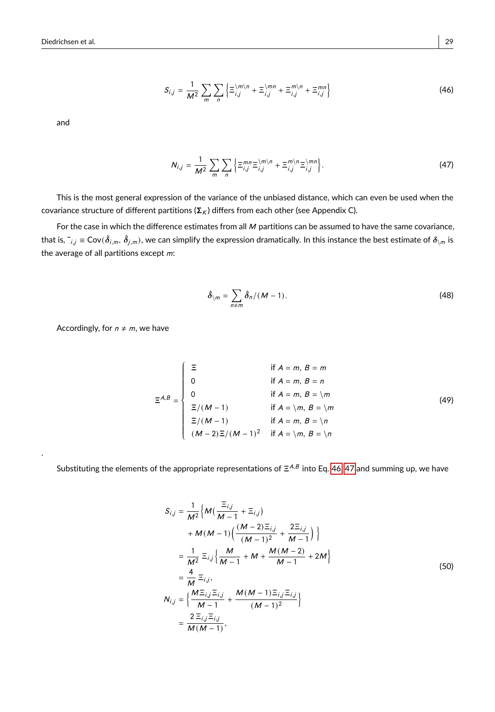<span id="page-28-0"></span>
$$
S_{i,j} = \frac{1}{M^2} \sum_{m} \sum_{n} \left\{ \Xi_{i,j}^{|m|n} + \Xi_{i,j}^{|mn} + \Xi_{i,j}^{m|n} + \Xi_{i,j}^{m|n} \right\}
$$
(46)

and

.

<span id="page-28-1"></span>
$$
N_{i,j} = \frac{1}{M^2} \sum_{m} \sum_{n} \left\{ \Xi_{i,j}^{mn} \Xi_{i,j}^{(m)n} + \Xi_{i,j}^{m/n} \Xi_{i,j}^{(mn)} \right\}.
$$
 (47)

This is the most general expression of the variance of the unbiased distance, which can even be used when the covariance structure of different partitions ( $\Sigma_K$ ) differs from each other (see Appendix C).

For the case in which the difference estimates from all  $M$  partitions can be assumed to have the same covariance, that is,  $\ddot{\phantom{\phi}}_{i,j}\equiv \mathsf{Cov}(\hat{\delta}_{i,m},\hat{\delta}_{j,m})$ , we can simplify the expression dramatically. In this instance the best estimate of  $\delta_{\backslash m}$  is the average of all partitions except  $m$ :

$$
\hat{\delta}_{\setminus m} = \sum_{n \neq m} \hat{\delta}_n / (M - 1). \tag{48}
$$

Accordingly, for  $n \neq m$ , we have

$$
\Xi^{A,B} = \begin{cases}\n\Xi & \text{if } A = m, B = m \\
0 & \text{if } A = m, B = n \\
0 & \text{if } A = m, B = \mathbb{N} \\
\Xi/(M-1) & \text{if } A = \mathbb{N}, B = \mathbb{N} \\
\Xi/(M-1) & \text{if } A = m, B = \mathbb{N} \\
(M-2)\Xi/(M-1)^2 & \text{if } A = \mathbb{N}, B = \mathbb{N}\n\end{cases}
$$
\n(49)

Substituting the elements of the appropriate representations of  $\Xi^{A,B}$  into Eq. [46,](#page-28-0) [47](#page-28-1) and summing up, we have

J

$$
S_{i,j} = \frac{1}{M^2} \Big\{ M \big( \frac{\Xi_{i,j}}{M - 1} + \Xi_{i,j} \big) + M(M - 1) \big( \frac{(M - 2)\Xi_{i,j}}{(M - 1)^2} + \frac{2\Xi_{i,j}}{M - 1} \big) \Big\} = \frac{1}{M^2} \Xi_{i,j} \Big\{ \frac{M}{M - 1} + M + \frac{M(M - 2)}{M - 1} + 2M \Big\} = \frac{4}{M} \Xi_{i,j},
$$
  

$$
N_{i,j} = \Big\{ \frac{M\Xi_{i,j} \Xi_{i,j}}{M - 1} + \frac{M(M - 1)\Xi_{i,j} \Xi_{i,j}}{(M - 1)^2} \Big\} = \frac{2\Xi_{i,j} \Xi_{i,j}}{M(M - 1)},
$$
(50)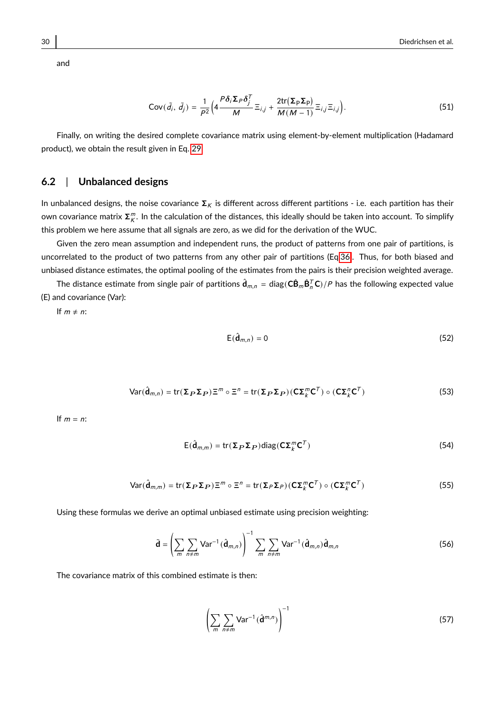$Cov(\tilde{d}_i, \tilde{d}_j) = \frac{1}{P^2}$  $rac{1}{P^2}\Big(4\frac{P\delta_i\Sigma_P\delta_j^T}{M}$  $\frac{\Sigma_P \delta_j'}{M} \equiv_{i,j} + \frac{2 \text{tr}(\Sigma_P \Sigma_P)}{M(M-1)}$  $\frac{2\pi (2P2P)}{M(M-1)} \equiv_{i,j} \equiv_{i,j}$  $(51)$ 

Finally, on writing the desired complete covariance matrix using element-by-element multiplication (Hadamard product), we obtain the result given in Eq. [29.](#page-21-1)

#### **6.2** | **Unbalanced designs**

In unbalanced designs, the noise covariance  $\Sigma_K$  is different across different partitions - i.e. each partition has their own covariance matrix  $\bm{\Sigma}^m_K$ . In the calculation of the distances, this ideally should be taken into account. To simplify this problem we here assume that all signals are zero, as we did for the derivation of the WUC.

Given the zero mean assumption and independent runs, the product of patterns from one pair of partitions, is uncorrelated to the product of two patterns from any other pair of partitions (Eq[.36\)](#page-26-0). Thus, for both biased and unbiased distance estimates, the optimal pooling of the estimates from the pairs is their precision weighted average.

The distance estimate from single pair of partitions  $\hat{\mathbf{d}}_{m,n} = \text{diag}(\mathbf{C}\hat{\mathbf{B}}_m\hat{\mathbf{B}}_n^T\mathbf{C})/P$  has the following expected value (E) and covariance (Var):

If  $m \neq n$ :

$$
E(\hat{\mathbf{d}}_{m,n}) = 0 \tag{52}
$$

$$
\text{Var}(\hat{\mathbf{d}}_{m,n}) = \text{tr}(\Sigma_{P}\Sigma_{P})\Xi^{m} \circ \Xi^{n} = \text{tr}(\Sigma_{P}\Sigma_{P})(C\Sigma_{K}^{m}C^{T}) \circ (C\Sigma_{K}^{n}C^{T})
$$
\n(53)

If  $m = n$ :

$$
E(\hat{\mathbf{d}}_{m,m}) = \text{tr}(\Sigma_{P}\Sigma_{P})\text{diag}(\mathbf{C}\Sigma_{k}^{m}\mathbf{C}^{T})
$$
\n(54)

$$
\text{Var}(\hat{\mathbf{d}}_{m,m}) = \text{tr}(\Sigma_P \Sigma_P) \Xi^m \circ \Xi^n = \text{tr}(\Sigma_P \Sigma_P)(\mathbf{C}\Sigma_k^m \mathbf{C}^T) \circ (\mathbf{C}\Sigma_k^m \mathbf{C}^T)
$$
(55)

Using these formulas we derive an optimal unbiased estimate using precision weighting:

$$
\tilde{\mathbf{d}} = \left(\sum_{m} \sum_{n \neq m} \mathsf{Var}^{-1}(\hat{\mathbf{d}}_{m,n})\right)^{-1} \sum_{m} \sum_{n \neq m} \mathsf{Var}^{-1}(\hat{\mathbf{d}}_{m,n}) \hat{\mathbf{d}}_{m,n}
$$
(56)

The covariance matrix of this combined estimate is then:

$$
\left(\sum_{m}\sum_{n\neq m}\text{Var}^{-1}(\hat{\mathbf{d}}^{m,n})\right)^{-1} \tag{57}
$$

and